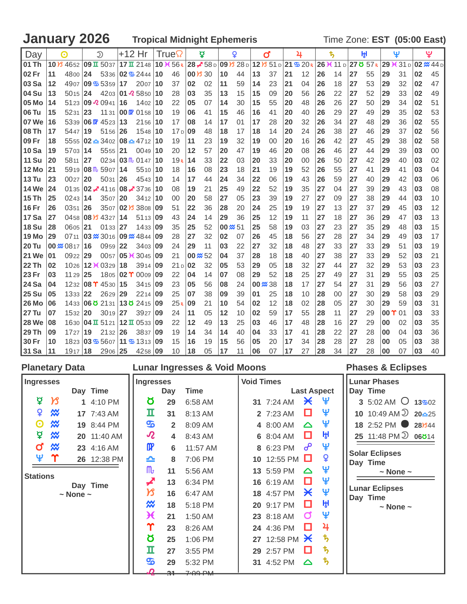## **January 2026 Tropical Midnight Ephemeris Time Zone: EST (05:00 East)**

| Day          |    | ⊙                                                                 |              | D                              | $+12$ Hr |                                                         |     | True            |           | ₫                   |    | Q                                                           |                 | ď  |    | 4                     |    | ҍ,                             |    | ŀχl |    | Ψ         |    | بٍ                  |
|--------------|----|-------------------------------------------------------------------|--------------|--------------------------------|----------|---------------------------------------------------------|-----|-----------------|-----------|---------------------|----|-------------------------------------------------------------|-----------------|----|----|-----------------------|----|--------------------------------|----|-----|----|-----------|----|---------------------|
| 101 Th       |    | 10 $\frac{1}{3}$ 4652 09 II 5037 17 II 2148 10 $\frac{1}{3}$ 56 R |              |                                |          |                                                         |     |                 |           |                     |    | $28 \times 58 \,\mathrm{D}$ 09 $\mathrm{B}$ 28 $\mathrm{D}$ |                 |    |    | 12 $851 D 21 $ 6 20 R |    | 26 <del>€</del> 11 D 27 Ö 57 R |    |     |    | $29+(31)$ |    | $02 \frac{M}{44}$ D |
| 102 Fr       | 11 | 4800 24                                                           |              |                                |          | 5336 02 $\frac{1}{2}$ 2444                              | 10  | 46              |           | $00 \cancel{13} 30$ | 10 | 44                                                          | 13              | 37 | 21 | 12                    | 26 | 14                             | 27 | 55  | 29 | 31        | 02 | 45                  |
| <b>03 Sa</b> | 12 |                                                                   |              | 4907 09 \$ 5359 17             |          | $2007$   10                                             |     | 37              | 02        | 02                  | 11 | 59                                                          | 14              | 23 | 21 | 04                    | 26 | 18                             | 27 | 53  | 29 | 32        | 02 | 47                  |
| 104 Su       | 13 | $5015$   24                                                       |              |                                |          | 4203 01 $\sqrt{2}$ 5850 10                              |     | 28              | 03        | 35                  | 13 | 15                                                          | 15              | 09 | 20 | 56                    | 26 | 22                             | 27 | 52  | 29 | 33        | 02 | 49                  |
| l 05 Mo      | 14 |                                                                   |              | 5123 09 $\sqrt{2}$ 0941 16     |          | 1402                                                    | 10  | 22              | 05        | 07                  | 14 | 30                                                          | 15              | 55 | 20 | 48                    | 26 | 26                             | 27 | 50  | 29 | 34        | 02 | 51                  |
| 06 Tu        | 15 | 5231                                                              | $ 23\rangle$ |                                |          | 11 31 $\mid$ 00 $\mid$ 01 58 $\mid$ 10                  |     | 19              | 06        | 41                  | 15 | 46                                                          | 16              | 41 | 20 | 40                    | 26 | 29                             | 27 | 49  | 29 | 35        | 02 | 53                  |
| 107 We       | 16 |                                                                   |              | 5339 06 $\sqrt{W}$ 4523 13     |          | 2156 10                                                 |     | 17              | 08        | 14                  | 17 | 01                                                          | 17              | 28 | 20 | 32                    | 26 | 34                             | 27 | 48  | 29 | 36        | 02 | 55                  |
| l 08 Th      | 17 | 5447 19                                                           |              | 5156 26                        |          | 1548 10                                                 |     | 17 <sub>D</sub> | <b>09</b> | 48                  | 18 | 17                                                          | 18              | 14 | 20 | 24                    | 26 | 38                             | 27 | 46  | 29 | 37        | 02 | 56                  |
| 109 Fr       | 18 |                                                                   |              |                                |          | 5555 <b>02 <u>←</u> 3402 <b>08 ←</b> 4712 <b>10</b></b> |     | 19              | 11        | 23                  | 19 | 32                                                          | 19              | 00 | 20 | 16                    | 26 | 42                             | 27 | 45  | 29 | 38        | 02 | 58                  |
| 10 Sa        | 19 | 5703 14                                                           |              | $5555$ 21                      |          | 0049110                                                 |     | 20              | 12        | 57                  | 20 | 47                                                          | 19              | 46 | 20 | 08                    | 26 | 46                             | 27 | 44  | 29 | 39        | 03 | 00                  |
| 11 Su        | 20 | 5811 27                                                           |              |                                |          | $0234$ 03 $\text{m}$ , 0147 10                          |     | 19R             | 14        | 33                  | 22 | 03                                                          | 20              | 33 | 20 | 00                    | 26 | 50                             | 27 | 42  | 29 | 40        | 03 | 02                  |
| 12 Mo        | 21 |                                                                   |              | $5919$ 08 $\text{m}$ , 5907 14 |          | 5510 10                                                 |     | 18              | 16        | 08                  | 23 | 18                                                          | 21              | 19 | 19 | 52                    | 26 | 55                             | 27 | 41  | 29 | 41        | 03 | 04                  |
| <b>13 Tu</b> | 23 | 0027                                                              | 20           | $5031$ 26                      |          | 4543 10                                                 |     | 14              | 17        | 44                  | 24 | 34                                                          | 22              | 06 | 19 | 43                    | 26 | 59                             | 27 | 40  | 29 | 42        | 03 | 06                  |
| <b>14 We</b> | 24 |                                                                   |              |                                |          | 01 35 02 $\neq$ 41 16 08 $\neq$ 37 36 10                |     | 08              | 19        | 21                  | 25 | 49                                                          | 22              | 52 | 19 | 35                    | 27 | 04                             | 27 | 39  | 29 | 43        | 03 | 08                  |
| 15 Th        | 25 | 0243 14                                                           |              | 3507 20                        |          | $3412$ 10                                               |     | 00              | 20        | 58                  | 27 | 05                                                          | 23              | 39 | 19 | 27                    | 27 | 09                             | 27 | 38  | 29 | 44        | 03 | 10                  |
| <b>16 Fr</b> | 26 | 0351 26                                                           |              |                                |          | 3507 02 3808 09                                         |     | 51              | 22        | 36                  | 28 | 20                                                          | 24              | 25 | 19 | 19                    | 27 | 13                             | 27 | 37  | 29 | 45        | 03 | 12                  |
| 17 Sa        | 27 |                                                                   |              | 0458 08 3 4327 14              |          | 5113 09                                                 |     | 43              | 24        | 14                  | 29 | 36                                                          | 25              | 12 | 19 | 11                    | 27 | 18                             | 27 | 36  | 29 | 47        | 03 | 13                  |
| 18 Su        | 28 | 0605 21                                                           |              | $0133$ 27                      |          | 1433   09                                               |     | 35              | 25        | 52                  |    | 00 $\frac{36}{20}$ 51                                       | 25              | 58 | 19 | 03                    | 27 | 23                             | 27 | 35  | 29 | 48        | 03 | 15                  |
| 19 Mo        | 29 |                                                                   |              |                                |          | 0711 03 $\%$ 3016 09 $\%$ 4844 09                       |     | 28              | 27        | 32                  | 02 | 07                                                          | 26              | 45 | 18 | 56                    | 27 | 28                             | 27 | 34  | 29 | 49        | 03 | 17                  |
| l 20 Tu      |    |                                                                   |              | 0959 22                        |          | 3403 09                                                 |     | 24              | 29        | 11                  | 03 | 22                                                          | 27              | 32 | 18 | 48                    | 27 | 33                             | 27 | 33  | 29 | 51        | 03 | 19                  |
| 121 We       | 01 | 0922 29                                                           |              |                                |          | 0057 05 $\angle$ 3045 09                                |     | 21              |           | $00 \approx 52$     | 04 | 37                                                          | 28              | 18 | 18 | 40                    | 27 | 38                             | 27 | 33  | 29 | 52        | 03 | 21                  |
| 22 Th        | 02 |                                                                   |              | 1026 12 <del>1</del> 0329 18   |          | 3914 09                                                 |     | 21p             | 02        | 32                  | 05 | 53                                                          | 29              | 05 | 18 | 32                    | 27 | 44                             | 27 | 32  | 29 | 53        | 03 | 23                  |
| 23 Fr        | 03 | $1129$ 25                                                         |              |                                |          | 1805 02 $\Upsilon$ 0009 09                              |     | 22              | 04        | 14                  | 07 | 08                                                          | 29              | 52 | 18 | 25                    | 27 | 49                             | 27 | 31  | 29 | 55        | 03 | 25                  |
| 24 Sa        | 04 |                                                                   |              | 1232 08 T 4530 15              |          | 3415 09                                                 |     | 23              | 05        | 56                  | 08 | 24                                                          | $00 \approx 38$ |    | 18 | 17                    | 27 | 54                             | 27 | 31  | 29 | 56        | 03 | 27                  |
| 25 Su        | 05 | $1333$ 22                                                         |              | 2629 29                        |          | 2214 09                                                 |     | 25              | 07        | 38                  | 09 | 39                                                          | 01              | 25 | 18 | 10                    | 28 | 00                             | 27 | 30  | 29 | 58        | 03 | 29                  |
| 26 Mo        | 06 |                                                                   |              |                                |          | 1433 06 0 2131 13 0 2415 09                             |     | 25R             | 09        | 21                  | 10 | 54                                                          | 02              | 12 | 18 | 02                    | 28 | 05                             | 27 | 30  | 29 | 59        | 03 | 31                  |
| l 27 Tu      | 07 | 1532 20                                                           |              | 3019 27                        |          | 3927                                                    | 09  | 24              | 11        | 05                  | 12 | 10                                                          | 02              | 59 | 17 | 55                    | 28 | 11                             | 27 | 29  | 00 | -01       | 03 | 33                  |
| 28 We        | 08 |                                                                   |              |                                |          | 1630   04 П 5121   12 П 0533   09                       |     | 22              | 12        | 49                  | 13 | 25                                                          | 03              | 46 | 17 | 48                    | 28 | 16                             | 27 | 29  | 00 | 02        | 03 | 35                  |
| l 29 Th      | 09 | 1727                                                              | 19           | $2132$ 26                      |          | 3837                                                    | 109 | 19              | 14        | 34                  | 14 | 40                                                          | 04              | 33 | 17 | 41                    | 28 | 22                             | 27 | 28  | 00 | 04        | 03 | 36                  |
| 30 Fr        | 10 |                                                                   |              |                                |          | 1823 03 5607 11 5 1313 09                               |     | 15              | 16        | 19                  | 15 | 56                                                          | 05              | 20 | 17 | 34                    | 28 | 28                             | 27 | 28  | 00 | 05        | 03 | 38                  |
| 31 Sa        | 11 | 1917 18                                                           |              | 2906 25                        |          | 4258 09                                                 |     | 10              | 18        | 05                  | 17 | 11                                                          | 06              | 07 | 17 | 27                    | 28 | 34                             | 27 | 28  | 00 | 07        | 03 | 40                  |

|                       |                                 | <b>Planetary Data</b> |             |                            |                | <b>Lunar Ingresses &amp; Void Moons</b> |                   |                         |                       |                    | <b>Phases &amp; Eclipses</b>                   |
|-----------------------|---------------------------------|-----------------------|-------------|----------------------------|----------------|-----------------------------------------|-------------------|-------------------------|-----------------------|--------------------|------------------------------------------------|
| Ingresses             |                                 |                       |             | <b>Ingresses</b>           |                |                                         | <b>Void Times</b> |                         |                       |                    | <b>Lunar Phases</b>                            |
|                       |                                 |                       | Day Time    |                            | Day            | Time                                    |                   |                         |                       | <b>Last Aspect</b> | Day Time                                       |
| ₫                     | $\boldsymbol{\mathcal{B}}$      |                       | 1 4:10 PM   | Ծ                          | 29             | 6:58 AM                                 |                   | 31 7:24 AM              | $\star$               | ுழ                 | 3 5:02 AM $\bigcirc$ 13 $\frac{30}{202}$       |
| ¥                     | ₩                               |                       | 17 7:43 AM  | п                          | 31             | 8:13 AM                                 |                   | 2 7:23 AM               | □                     | Ψ                  | 10 10:49 AM $\overline{20}$ 20 $\overline{25}$ |
| $\boldsymbol{\Theta}$ | $\boldsymbol{\mathsf{\approx}}$ |                       | 19 8:44 PM  | த                          | $\overline{2}$ | 8:09 AM                                 |                   | 4 8:00 AM               | $\Delta$              | Ψ                  | 18 2:52 PM 281644                              |
| ₫                     | $\boldsymbol{\mathcal{X}}$      |                       | 20 11:40 AM | $\boldsymbol{\mathcal{R}}$ | 4              | 8:43 AM                                 |                   | 6 8:04 AM               | □                     | ŀH                 | 25 11:48 PM 2 06614                            |
| ď                     | ₩                               |                       | 23 4:16 AM  | $\mathbf{m}$               | 6              | 11:57 AM                                |                   | 8 6:23 PM               | ൙                     | Ψ                  | <b>Solar Eclipses</b>                          |
| Ψ                     | Υ                               |                       | 26 12:38 PM | ≏                          | 8              | 7:06 PM                                 |                   | 10 12:55 PM $\Box$      |                       | ¥                  | Day Time                                       |
| <b>Stations</b>       |                                 |                       |             | $\mathsf{m}$               | 11             | 5:56 AM                                 |                   | 13 5:59 PM              | $\triangle$           | Ψ                  | $\sim$ None $\sim$                             |
|                       |                                 |                       | Day Time    | ◢                          | 13             | 6:34 PM                                 |                   | 16 6:19 AM              | □                     | Ψ                  |                                                |
|                       |                                 | $\sim$ None $\sim$    |             | צ                          | 16             | 6:47 AM                                 |                   | 18 4:57 PM              | $\boldsymbol{\times}$ | Ψ                  | <b>Lunar Eclipses</b><br>Day Time              |
|                       |                                 |                       |             | $\boldsymbol{\mathcal{R}}$ | 18             | 5:18 PM                                 |                   | 20 9:17 PM              | □                     | ਸ਼੍ਰਮ              | $\sim$ None $\sim$                             |
|                       |                                 |                       |             | Ӿ                          | 21             | 1:50 AM                                 |                   | 23 8:18 AM              | $\sigma$              | Ψ                  |                                                |
|                       |                                 |                       |             | Υ                          | 23             | 8:26 AM                                 |                   | 24 4:36 PM              | О                     | 4                  |                                                |
|                       |                                 |                       |             | Ծ                          | 25             | 1:06 PM                                 |                   | 27 12:58 PM $\bigtimes$ |                       | ち                  |                                                |
|                       |                                 |                       |             | п                          | 27             | 3:55 PM                                 |                   | 29 2:57 PM              | O                     | ђ                  |                                                |
|                       |                                 |                       |             | $\overline{\mathbf{S}}$    | 29             | 5:32 PM                                 |                   | 31 4:52 PM              | $\triangle$           | ђ                  |                                                |
|                       |                                 |                       |             |                            | ച              | $7.09 + M$                              |                   |                         |                       |                    |                                                |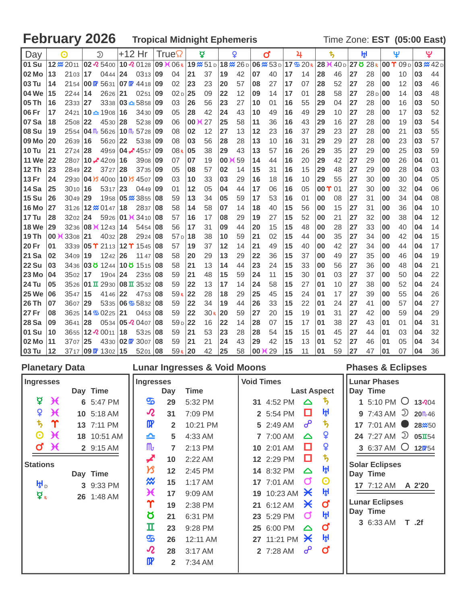# **February 2026 Tropical Midnight Ephemeris** Time Zone: **EST** (05:00 East)

| Day          |    | ⊙           |    | $\mathfrak{D}$                                   | +12 Hr |                            |           | True            |    | ₫                                                         |    | Q           |    | ď                 |    | 4      |               | ち  |    | ŀχl             |    | Ψ                  |    | ؠ         |
|--------------|----|-------------|----|--------------------------------------------------|--------|----------------------------|-----------|-----------------|----|-----------------------------------------------------------|----|-------------|----|-------------------|----|--------|---------------|----|----|-----------------|----|--------------------|----|-----------|
| 01 Su        |    | 12 % 2011   |    | $ 02 \times 5400 $                               |        | $10\sqrt{2}0128$           |           | 09 36 06R       |    | $19 \frac{\cancel{m}}{0.51}$ $18 \frac{\cancel{m}}{0.26}$ |    |             |    | 06 <b>XX</b> 53 D |    | 17520R | 28 X 40 D     |    |    | 27 8 28 R       |    | $00 \Upsilon 09_D$ |    | 03 @ 42 D |
| 02 Mo        | 13 | $2103$   17 |    | 0444                                             | 24     | 0313                       | 09        | 04              | 21 | 37                                                        | 19 | 42          | 07 | 40                | 17 | 14     | 28            | 46 | 27 | 28              | 00 | 10                 | 03 | 44        |
| 03 Tu        | 14 |             |    | 2154 00 $\frac{1}{2}$ 5631 07 $\frac{1}{2}$ 4418 |        |                            | 09        | 02              | 23 | 23                                                        | 20 | 57          | 08 | 27                | 17 | 07     | 28            | 52 | 27 | 28              | 00 | 12                 | 03 | 46        |
| 04 We        | 15 | $2244$   14 |    | 2626                                             | 21     | 0251                       | 09        | 02 <sub>D</sub> | 25 | 09                                                        | 22 | 12          | 09 | 14                | 17 | 01     | 28            | 58 | 27 | 28 <sub>D</sub> | 00 | 14                 | 03 | 48        |
| 05 Th        | 16 | 2333 27     |    |                                                  |        | $3338$ 03 $\triangle$ 5858 | 09        | 03              | 26 | 56                                                        | 23 | 27          | 10 | 0 <sub>1</sub>    | 16 | 55     | 29            | 04 | 27 | 28              | 00 | 16                 | 03 | 50        |
| 06 Fr        | 17 | 2421        |    | $10 - 1908$                                      | 16     | 3430                       | 09        | 05              | 28 | 42                                                        | 24 | 43          | 10 | 49                | 16 | 49     | 29            | 10 | 27 | 28              | 00 | 17                 | 03 | 52        |
| 07 Sa        | 18 | 2508 22     |    | 4530                                             | 28     | 5238                       | 09        | 06              |    | 00 K 27                                                   | 25 | 58          | 11 | 36                | 16 | 43     | 29            | 16 | 27 | 28              | 00 | 19                 | 03 | 54        |
| <b>08 Su</b> | 19 |             |    | $2554$ 04 $\text{m}$ 5626                        |        | $10\,\mathrm{fb}$ 5728     | <b>09</b> | 08              | 02 | 12                                                        | 27 | 13          | 12 | 23                | 16 | 37     | 29            | 23 | 27 | 28              | 00 | 21                 | 03 | 55        |
| 09 Mo        | 20 | 2639 16     |    | 5620                                             | 22     | 5338                       | 09        | 08              | 03 | 56                                                        | 28 | 28          | 13 | 10                | 16 | 31     | 29            | 29 | 27 | 28              | 00 | 23                 | 03 | 57        |
| <b>10 Tu</b> | 21 | 2724 28     |    | 4959                                             |        | 04 $\cancel{\bullet}$ 4557 | 09        | 08R             | 05 | 38                                                        | 29 | 43          | 13 | 57                | 16 | 26     | 29            | 35 | 27 | 29              | 00 | 25                 | 03 | 59        |
| <b>11 We</b> | 22 |             |    | 2807 10 $\neq$ 4209                              | 16     | 3908                       | 09        | 07              | 07 | 19                                                        | 00 | $\times 59$ | 14 | 44                | 16 | 20     | 29            | 42 | 27 | 29              | 00 | 26                 | 04 | 01        |
| <b>12 Th</b> | 23 | 2849 22     |    | 3727                                             | 28     | 3735                       | 09        | 05              | 08 | 57                                                        | 02 | 14          | 15 | 31                | 16 | 15     | 29            | 48 | 27 | 29              | 00 | 28                 | 04 | 03        |
| <b>13 Fr</b> | 24 |             |    | 2930 04 34000                                    |        | 10 B 4507                  | 109       | 03              | 10 | 33                                                        | 03 | 29          | 16 | 18                | 16 | 10     | 29            | 55 | 27 | 30              | 00 | 30                 | 04 | 05        |
| <b>14 Sa</b> | 25 | 3010 16     |    | 5317                                             | 23     | 0449                       | 09        | 01              | 12 | 05                                                        | 04 | 44          | 17 | 06                | 16 | 05     | $00 \Upsilon$ | 01 | 27 | 30              | 00 | 32                 | 04 | 06        |
| <b>15 Su</b> | 26 | $3049$ 29   |    | 1958                                             |        | 05 % 3855                  | 08        | 59              | 13 | 34                                                        | 05 | 59          | 17 | 53                | 16 | 01     | 00            | 08 | 27 | 31              | 00 | 34                 | 04 | 08        |
| <b>16 Mo</b> | 27 |             |    | 3126 12 <b>2</b> 0147                            | 18     | 2837                       | 08        | 58              | 14 | 58                                                        | 07 | 14          | 18 | 40                | 15 | 56     | 00            | 15 | 27 | 31              | 00 | 36                 | 04 | 10        |
| <b>17 Tu</b> | 28 | $3202$   24 |    | 5926                                             |        | 01 K 3410                  | 08        | 57              | 16 | 17                                                        | 08 | 29          | 19 | 27                | 15 | 52     | 00            | 21 | 27 | 32              | 00 | 38                 | 04 | 12        |
| <b>18 We</b> | 29 |             |    | 3236 08 $\cancel{+}$ 1243                        | 14     | 5454                       | 08        | 56              | 17 | 31                                                        | 09 | 44          | 20 | 15                | 15 | 48     | 00            | 28 | 27 | 33              | 00 | 40                 | 04 | 14        |
| <b>19 Th</b> | 00 | $3308$ 21   |    | 4032                                             | 28     | 2924                       | 08        | 57 d            | 18 | 38                                                        | 10 | 59          | 21 | 02                | 15 | 44     | 00            | 35 | 27 | 34              | 00 | 42                 | 04 | 15        |
| 20 Fr        | 01 |             |    | 3339 05 T 2113                                   | $12$ T | 1545                       | 08        | 57              | 19 | 37                                                        | 12 | 14          | 21 | 49                | 15 | 40     | 00            | 42 | 27 | 34              | 00 | 44                 | 04 | 17        |
| 21 Sa        | 02 | $3409$   19 |    | 1242                                             | 26     | 11 47                      | 08        | 58              | 20 | 29                                                        | 13 | 29          | 22 | 36                | 15 | 37     | 00            | 49 | 27 | 35              | 00 | 46                 | 04 | 19        |
| <b>22 Su</b> | 03 |             |    |                                                  |        | 3436 03 0 1244 10 0 1515   | 08        | 58              | 21 | 13                                                        | 14 | 44          | 23 | 24                | 15 | 33     | 00            | 56 | 27 | 36              | 00 | 48                 | 04 | 21        |
| 23 Mo        | 04 | 3502 17     |    | 1904                                             | 24     | 2355                       | 08        | 59              | 21 | 48                                                        | 15 | 59          | 24 | 11                | 15 | 30     | 01            | 03 | 27 | 37              | 00 | 50                 | 04 | 22        |
| 24 Tu        | 05 |             |    | 3526 01 $\overline{u}$ 2930                      |        | $08 \text{ T}$ 3532 08     |           | 59              | 22 | 13                                                        | 17 | 14          | 24 | 58                | 15 | 27     | 01            | 10 | 27 | 38              | 00 | 52                 | 04 | 24        |
| <b>25 We</b> | 06 | $3547$   15 |    | 4146                                             | 22     | 4753                       | 08        | 59R             | 22 | 28                                                        | 18 | 29          | 25 | 45                | 15 | 24     | 01            | 17 | 27 | 39              | 00 | 55                 | 04 | 26        |
| 26 Th        | 07 | 3607        | 29 | 5335                                             |        | $106\,$ % $5832$           | 08        | 59              | 22 | 34                                                        | 19 | 44          | 26 | 33                | 15 | 22     | 01            | 24 | 27 | 41              | 00 | 57                 | 04 | 27        |
| 27 Fr        | 08 |             |    | $3625 \, 114 \,$ 5 0225                          | 21     | 0453                       | 08        | 59              | 22 | 30 <sub>R</sub>                                           | 20 | 59          | 27 | 20                | 15 | 19     | 01            | 31 | 27 | 42              | 00 | 59                 | 04 | 29        |
| 28 Sa        | 09 | 3641        | 28 | 0534                                             |        | 05 20407                   | 08        | 59D             | 22 | 16                                                        | 22 | 14          | 28 | 07                | 15 | 17     | 01            | 38 | 27 | 43              | 01 | 01                 | 04 | 31        |
| 01 Su        | 10 |             |    | 3655 12 $2$ 0011                                 | 18     | 5325                       | 08        | 59              | 21 | 53                                                        | 23 | 28          | 28 | 54                | 15 | 15     | 01            | 45 | 27 | 44              | 01 | 03                 | 04 | 32        |
| <b>02 Mo</b> | 11 | $3707$ 25   |    | 4330                                             |        | 02 W 3007                  | 08        | 59              | 21 | 21                                                        | 24 | 43          | 29 | 42                | 15 | 13     | 01            | 52 | 27 | 46              | 01 | 05                 | 04 | 34        |
| <b>03 Tu</b> | 12 |             |    | $3717$ 09 $\text{m}$ 1302 15                     |        | 5201                       | 08        | 59R             | 20 | 42                                                        | 25 | 58          |    | 00 K 29           | 15 | 11     | 01            | 59 | 27 | 47              | 01 | 07                 | 04 | 36        |

| <b>Void Times</b><br><b>Ingresses</b><br><b>Ingresses</b><br><b>Last Aspect</b><br>Day Time<br>Day Time<br>Day<br><b>Time</b>                                                                                                                                                                                                                                                                                                                                                                                                                                                                                                                                                                                                                                                                                                                                                                                                                                                                                                                                                                                                                                                                                               | <b>Lunar Phases</b>                                                                                                                                                                                                                                                                                    |
|-----------------------------------------------------------------------------------------------------------------------------------------------------------------------------------------------------------------------------------------------------------------------------------------------------------------------------------------------------------------------------------------------------------------------------------------------------------------------------------------------------------------------------------------------------------------------------------------------------------------------------------------------------------------------------------------------------------------------------------------------------------------------------------------------------------------------------------------------------------------------------------------------------------------------------------------------------------------------------------------------------------------------------------------------------------------------------------------------------------------------------------------------------------------------------------------------------------------------------|--------------------------------------------------------------------------------------------------------------------------------------------------------------------------------------------------------------------------------------------------------------------------------------------------------|
|                                                                                                                                                                                                                                                                                                                                                                                                                                                                                                                                                                                                                                                                                                                                                                                                                                                                                                                                                                                                                                                                                                                                                                                                                             |                                                                                                                                                                                                                                                                                                        |
| ₽<br>$\boldsymbol{\mathcal{H}}$<br>ு<br>6 5:47 PM<br>31 4:52 PM<br>ъ,<br>29<br>5:32 PM<br>$\triangle$<br>ŀĤ<br>Q<br>$\boldsymbol{\mathcal{R}}$<br>$\chi$<br>O<br>10 5:18 AM<br>31<br>7:09 PM<br>2 5:54 PM<br>ђ.<br>$\Upsilon$<br>$\boldsymbol{\psi}$<br>$\mathbf{p}$<br>൙<br>13 7:11 PM<br>10:21 PM<br>5 2:49 AM<br>$\overline{2}$<br>¥<br>$\chi$<br>$\boldsymbol{\Theta}$<br>18 10:51 AM<br>≏<br>4:33 AM<br>7 7:00 AM<br>$\Delta$<br>5<br>¥<br>$\chi$<br>M<br>o<br>σ<br>2 9:15 AM<br>2:13 PM<br>10 2:01 AM<br>$\mathbf{7}$<br>$\boldsymbol{\psi}$<br>O<br>12 2:29 PM<br>2:22 AM<br>10<br><b>Stations</b><br>ਸ਼੍ਰਮ<br>ゟ<br>12<br>2:45 PM<br>14 8:32 PM<br>$\Delta$<br>Day Time<br>Day Time<br>₩<br>$\boldsymbol{\Theta}$<br>σ<br>15<br>17 7:01 AM<br>$1:17$ AM<br>₩ъ<br>3 9:33 PM<br>ਮ੍ਹਮ<br>Ж<br>19 10:23 AM $\cancel{\times}$<br>17<br>9:09 AM<br>$\vec{P}$<br>26 1:48 AM<br>Υ<br>ď<br>Ӿ<br>21 6:12 AM<br>19<br>2:38 PM<br>Day Time<br>ŀH<br>Ծ<br>σ<br>6:31 PM<br>23 5:29 PM<br>21<br>п<br>ď<br>23<br>25 6:00 PM<br>9:28 PM<br>$\triangle$<br>ŀŀ<br>௸<br>27 11:21 PM $\cancel{\times}$<br>26<br>12:11 AM<br>$\boldsymbol{\varOmega}$<br>ഄ<br>ď<br>2 7:28 AM<br>28<br>3:17 AM<br>$\mathbf{m}$<br>$\overline{2}$<br>7:34 AM | 1 5:10 PM $\bigcirc$ 13 204<br>9 7:43 AM $\overline{D}$ 20 $\sqrt{46}$<br>17 7:01 AM <b>● 28</b> <sup>250</sup><br>24 7:27 AM $\supseteq$ 05 $\overline{1}$ 54<br>3 6:37 AM $\bigcirc$ 120754<br><b>Solar Eclipses</b><br><b>17</b> 7:12 AM<br>A 2'20<br><b>Lunar Eclipses</b><br>3 6:33 AM<br>$T$ .2f |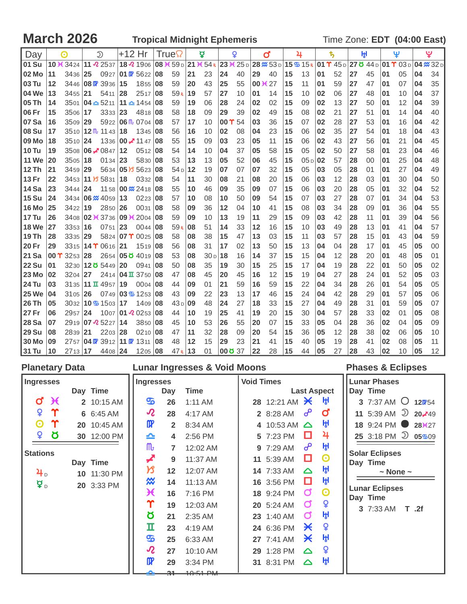**March 2026 Tropical Midnight Ephemeris Time Zone: EDT (04:00 East)** 

| Day          |    | ര                                 |    | $\mathfrak{D}$                             | +12 Hr |                                                    |    | True            |    | ₫                                 |               | Q      |    | ď                                     |    | 4                                         |              | ҍ,                                |    | ŀH |    | Ψ                  |    | ؠ                           |
|--------------|----|-----------------------------------|----|--------------------------------------------|--------|----------------------------------------------------|----|-----------------|----|-----------------------------------|---------------|--------|----|---------------------------------------|----|-------------------------------------------|--------------|-----------------------------------|----|----|----|--------------------|----|-----------------------------|
| 01 Su        |    | 10 $\angle$ 3424 11 $\angle$ 2537 |    |                                            |        | 18 2 1906                                          |    |                 |    | 08 $\times$ 59 D 21 $\times$ 54 R |               |        |    | $23 \times 25 \text{ D}$ 28 $\%$ 53 D |    | $15\,$ $\frac{m}{2}$ $15\,$ $\frac{m}{2}$ |              | $ 01 \Upsilon 45_D $ 27 ð 44 $_D$ |    |    |    | $01 \Upsilon 03 D$ |    | $04 \cancel{\text{m}}$ 32 D |
| 02 Mo        | 11 | 3436 25                           |    | 0927                                       |        | 01 07 5622                                         | 08 | 59              | 21 | 23                                | 24            | 40     | 29 | 40                                    | 15 | 13                                        | 01           | 52                                | 27 | 45 | 01 | 05                 | 04 | 34                          |
| 03 Tu        | 12 |                                   |    | 3446 08 $\mathbb{R}$ 3936                  | 15     | 1855                                               | 08 | 59              | 20 | 43                                | 25            | 55     | 00 | $\chi$ 27                             | 15 | 11                                        | 01           | 59                                | 27 | 47 | 01 | 07                 | 04 | 35                          |
| 04 We        | 13 | $3455$ 21                         |    | 5411                                       | 28     | 2517                                               | 08 | 59 <sub>R</sub> | 19 | 57                                | 27            | 10     | 01 | 14                                    | 15 | 10                                        | 02           | 06                                | 27 | 48 | 01 | 10                 | 04 | 37                          |
| 05 Th        | 14 |                                   |    | $3501 \, 104 - 5211$                       |        | $11 - 1454$                                        | 08 | 59              | 19 | 06                                | 28            | 24     | 02 | 02                                    | 15 | 09                                        | 02           | 13                                | 27 | 50 | 01 | 12                 | 04 | 39                          |
| 06 Fr        | 15 | 3506 17                           |    | 3333                                       | 23     | 4818                                               | 08 | 58              | 18 | 09                                | 29            | 39     | 02 | 49                                    | 15 | 08                                        | 02           | 21                                | 27 | 51 | 01 | 14                 | 04 | 40                          |
| 07 Sa        | 16 | 3509 29                           |    |                                            |        | 5922 06 $\text{m}$ 0704                            | 08 | 57              | 17 | 10                                | $00 \Upsilon$ | 54     | 03 | 36                                    | 15 | 07                                        | 02           | 28                                | 27 | 53 | 01 | 16                 | 04 | 42                          |
| <b>08 Su</b> | 17 |                                   |    | $3510 \,   \, 12 \,   \, 11 \, 43 \,   \,$ | 18     | 1345                                               | 08 | 56              | 16 | 10                                | 02            | 08     | 04 | 23                                    | 15 | 06                                        | 02           | 35                                | 27 | 54 | 01 | 18                 | 04 | 43                          |
| 09 Mo        | 18 | 3510 24                           |    | 1336                                       |        | $ 00 \times 1147$                                  | 08 | 55              | 15 | 09                                | 03            | 23     | 05 | 11                                    | 15 | 06                                        | 02           | 43                                | 27 | 56 | 01 | 21                 | 04 | 45                          |
| <b>10 Tu</b> | 19 |                                   |    | 3508 06 $\overline{\phantom{0}}$ 0847      | 12     | 0512                                               | 08 | 54              | 14 | 10                                | 04            | 37     | 05 | 58                                    | 15 | 05                                        | 02           | 50                                | 27 | 58 | 01 | 23                 | 04 | 46                          |
| <b>11 We</b> | 20 | $3505$   18                       |    | 0134                                       | 23     | 5830                                               | 08 | 53              | 13 | 13                                | 05            | 52     | 06 | 45                                    | 15 | 05 <sub>D</sub>                           | $ 02\rangle$ | 57                                | 28 | 00 | 01 | 25                 | 04 | 48                          |
| 12 Th        | 21 | $3459$ 29                         |    |                                            |        | 5634 <b>05 B</b> 5623                              | 08 | 54 <sub>D</sub> | 12 | 19                                | 07            | 07     | 07 | 32                                    | 15 | 05                                        | 03           | 05                                | 28 | 01 | 01 | 27                 | 04 | 49                          |
| 13 Fr        | 22 |                                   |    | 3453 11 13 5831                            | 18     | 0332                                               | 08 | 54              | 11 | 30                                | 08            | 21     | 08 | 20                                    | 15 | 06                                        | 03           | 12                                | 28 | 03 | 01 | 30                 | 04 | 50                          |
| 14 Sa        | 23 | 3444 24                           |    | 1158                                       |        | 00 % 2418                                          | 08 | 55              | 10 | 46                                | 09            | 35     | 09 | 07                                    | 15 | 06                                        | 03           | 20                                | 28 | 05 | 01 | 32                 | 04 | 52                          |
| <b>15 Su</b> | 24 |                                   |    | 3434   06 <del>%</del> 4059                | 13     | 0223                                               | 08 | 57              | 10 | 08                                | 10            | 50     | 09 | 54                                    | 15 | 07                                        | 03           | 27                                | 28 | 07 | 01 | 34                 | 04 | 53                          |
| <b>16 Mo</b> | 25 | 3422 19                           |    | 2850                                       | 26     | 0031                                               | 08 | 58              | 09 | 36                                | 12            | 04     | 10 | 41                                    | 15 | 08                                        | 03           | 34                                | 28 | 09 | 01 | 36                 | 04 | 55                          |
| <b>17 Tu</b> | 26 |                                   |    | 3408 02 <del>1</del> 3736                  |        | $09 \times 2004$                                   | 08 | 59              | 09 | 10                                | 13            | 19     | 11 | 29                                    | 15 | 09                                        | 03           | 42                                | 28 | 11 | 01 | 39                 | 04 | 56                          |
| <b>18 We</b> | 27 | 3353 16                           |    | 0751                                       | 23     | 0044                                               | 08 | 59 <sub>R</sub> | 08 | 51                                | 14            | 33     | 12 | 16                                    | 15 | 10                                        | 03           | 49                                | 28 | 13 | 01 | 41                 | 04 | 57                          |
| 19 Th        | 28 | $3335$ 29                         |    |                                            |        | 5824 07 $\Upsilon$ 0025                            | 08 | 58              | 08 | 38                                | 15            | 47     | 13 | 03                                    | 15 | 11                                        | 03           | 57                                | 28 | 15 | 01 | 43                 | 04 | 59                          |
| <b>20 Fr</b> | 29 |                                   |    | 3315 14 T 0616                             | 21     | 1519                                               | 08 | 56              | 08 | 31                                | 17            | 02     | 13 | 50                                    | 15 | 13                                        | 04           | 04                                | 28 | 17 | 01 | 45                 | 05 | $00\,$                      |
| 21 Sa        | 00 | $3253$ 28                         |    | 2654                                       |        | 05 8 4019                                          | 08 | 53              | 08 | 30 <sub>D</sub>                   | 18            | 16     | 14 | 37                                    | 15 | 15                                        | 04           | 12                                | 28 | 20 | 01 | 48                 | 05 | 01                          |
| <b>22 Su</b> | 01 |                                   |    | 3230 120 5449                              | 20     | 0941                                               | 08 | 50              | 08 | 35                                | 19            | 30     | 15 | 25                                    | 15 | 17                                        | 04           | 19                                | 28 | 22 | 01 | 50                 | 05 | 02                          |
| <b>23 Mo</b> | 02 | $3204$ 27                         |    |                                            |        | 24 <sub>14</sub>   $04 \text{ T}$ 37 <sub>50</sub> | 08 | 47              | 08 | 45                                | 20            | 45     | 16 | 12                                    | 15 | 19                                        | 04           | 27                                | 28 | 24 | 01 | 52                 | 05 | 03                          |
| <b>24 Tu</b> | 03 |                                   |    | 3135 11 $\overline{1}$ 4957                | 19     | 0004                                               | 08 | 44              | 09 | 01                                | 21            | 59     | 16 | 59                                    | 15 | 22                                        | 04           | 34                                | 28 | 26 | 01 | 54                 | 05 | 05                          |
| <b>25 We</b> | 04 | $3105$   26                       |    | $0749$ $03\overline{3}$ 1253               |        |                                                    | 08 | 43              | 09 | 22                                | 23            | 13     | 17 | 46                                    | 15 | 24                                        | 04           | 42                                | 28 | 29 | 01 | 57                 | 05 | 06                          |
| 26 Th        | 05 |                                   |    | $3032$ 10 $\overline{3}$ 1503              | 17     | 1409                                               | 08 | 43 <sub>D</sub> | 09 | 48                                | 24            | 27     | 18 | 33                                    | 15 | 27                                        | 04           | 49                                | 28 | 31 | 01 | 59                 | 05 | 07                          |
| 27 Fr        | 06 | 2957 24                           |    |                                            |        | 1007 01 $\Omega$ 0253                              | 08 | 44              | 10 | 19                                | 25            | 41     | 19 | 20                                    | 15 | 30                                        | 04           | 57                                | 28 | 33 | 02 | 01                 | 05 | 08                          |
| <b>28 Sa</b> | 07 |                                   |    | 2919 07 25227                              | 14     | 3850                                               | 08 | 45              | 10 | 53                                | 26            | 55     | 20 | 07                                    | 15 | 33                                        | 05           | 04                                | 28 | 36 | 02 | 04                 | 05 | 09                          |
| <b>29 Su</b> | 08 | 2839                              | 21 | 2203                                       | 28     | 0210                                               | 08 | 47              | 11 | 32                                | 28            | 09     | 20 | 54                                    | 15 | 36                                        | 05           | 12                                | 28 | 38 | 02 | 06                 | 05 | 10                          |
| <b>30 Mo</b> | 09 | 2757                              |    | 04 F 3912 11 F 1311                        |        |                                                    | 08 | 48              | 12 | 15                                | 29            | 23     | 21 | 41                                    | 15 | 40                                        | 05           | 19                                | 28 | 41 | 02 | 08                 | 05 | 11                          |
| 31 Tu        | 10 | 2713 17                           |    | 4408 24                                    |        | 1205 08                                            |    | 47 <sub>R</sub> | 13 | 01                                |               | 000337 | 22 | 28                                    | 15 | 44                                        | 05           | 27                                | 28 | 43 | 02 | 10                 | 05 | 12                          |

| <b>Planetary Data</b> |            |             |                            |                | <b>Lunar Ingresses &amp; Void Moons</b> |                   |                               |                       |                       | <b>Phases &amp; Eclipses</b>                  |
|-----------------------|------------|-------------|----------------------------|----------------|-----------------------------------------|-------------------|-------------------------------|-----------------------|-----------------------|-----------------------------------------------|
| <b>Ingresses</b>      |            |             | <b>Ingresses</b>           |                |                                         | <b>Void Times</b> |                               |                       |                       | <b>Lunar Phases</b>                           |
|                       |            | Day Time    |                            | Day            | <b>Time</b>                             |                   |                               |                       | <b>Last Aspect</b>    | Day Time                                      |
| σ                     | $\chi$     | 2 10:15 AM  | $\mathbf{S}$               | 26             | $1:11$ AM                               |                   | 28 12:21 AM $\cancel{\times}$ |                       | ŀŀ                    | 3 7:37 AM $\circ$ 120754                      |
| ¥                     | $\Upsilon$ | 6 6:45 AM   | $\boldsymbol{\mathcal{R}}$ | 28             | 4:17 AM                                 |                   | 2 8:28 AM                     | ഄ                     | $\mathbf{o}$          | 11 5:39 AM $\overline{2}$ 20, 49              |
| O                     | $\Upsilon$ | 20 10:45 AM | $\mathbf{p}$               | $\overline{2}$ | 8:34 AM                                 |                   | 4 10:53 AM $\triangle$        |                       | ਸ਼੍ਰਮ                 | 18 9:24 PM •<br>28 <sup>3</sup> 627           |
| ¥                     | <u>୪</u>   | 30 12:00 PM | ≏                          | 4              | 2:56 PM                                 |                   | 5 7:23 PM                     | O                     | 4                     | 25 3:18 PM $\overline{2}$ 05 $\frac{20}{909}$ |
|                       |            |             | $\mathbf{m}$               | $\overline{7}$ | 12:02 AM                                |                   | 9 7:29 AM                     | ൙                     | ıĤ,                   |                                               |
| <b>Stations</b>       |            | Day Time    |                            | 9              | 11:37 AM                                |                   | 11 5:39 AM                    | □                     | $\boldsymbol{\Theta}$ | <b>Solar Eclipses</b><br>Day Time             |
| <b>斗</b> 。            |            | 10 11:30 PM | $\overline{\mathcal{B}}$   | 12             | 12:07 AM                                |                   | 14 7:33 AM                    | $\Delta$              | ıĤ,                   | $\sim$ None $\sim$                            |
| ¥ D                   |            | 20 3:33 PM  | ₩                          | 14             | 11:13 AM                                |                   | 16 3:56 PM                    | о                     | ıĤ,                   |                                               |
|                       |            |             | Ж                          | 16             | 7:16 PM                                 |                   | 18 9:24 PM                    | $\sigma$              | $\boldsymbol{\Theta}$ | <b>Lunar Eclipses</b><br>Day Time             |
|                       |            |             | Υ                          | 19             | 12:03 AM                                |                   | 20 5:24 AM                    | Ø                     | ¥                     | 3 7:33 AM<br>T .2f                            |
|                       |            |             | Ծ                          | 21             | 2:35 AM                                 |                   | 23 1:40 AM                    | σ                     | H                     |                                               |
|                       |            |             | п                          | 23             | 4:19 AM                                 |                   | 24 6:36 PM                    | $\boldsymbol{\times}$ | ¥                     |                                               |
|                       |            |             | த                          | 25             | 6:33 AM                                 |                   | 27 7:41 AM                    | Ӿ                     | H                     |                                               |
|                       |            |             | $\boldsymbol{\mathcal{R}}$ | 27             | 10:10 AM                                |                   | 29 1:28 PM                    | $\Delta$              | ¥                     |                                               |
|                       |            |             | $\mathbf{m}$               | 29             | 3:34 PM                                 |                   | 31 8:31 PM                    | $\Delta$              | ਸ਼੍ਰਮ                 |                                               |
|                       |            |             |                            | ഛ              | $49 - 54 - P1$                          |                   |                               |                       |                       |                                               |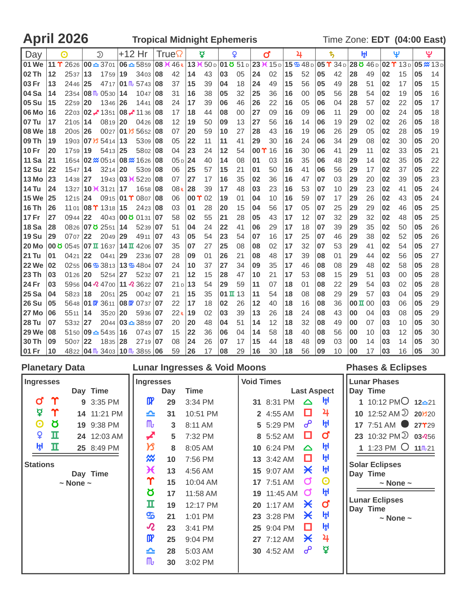April 2026 **Tropical Midnight Ephemeris** Time Zone: **EDT** (04:00 East)

| Day          |                  | ⊙           |              | $\mathfrak{D}$                |    | +12 Hr                                                                          |    | True |               | ₫  |                      | Q  |               | ď  |    | 4                                                                                                                      |    | ҍ, |                    | ₩, |    | Ψ  |    | ؠ              |
|--------------|------------------|-------------|--------------|-------------------------------|----|---------------------------------------------------------------------------------|----|------|---------------|----|----------------------|----|---------------|----|----|------------------------------------------------------------------------------------------------------------------------|----|----|--------------------|----|----|----|----|----------------|
| l 01 We      | 11 $\Upsilon$    |             |              |                               |    | 2626 00 $\triangle$ 3701 06 $\triangle$ 5859 08 $\angle$ 46 R                   |    |      |               |    |                      |    |               |    |    | $13 \times 50 \text{ D}$ 01 ö 51 d 23 $\times$ 15 d 15 $\text{C}$ 48 d 05 $\text{T}$ 34 d 28 ö 46 d 02 $\text{T}$ 13 d |    |    |                    |    |    |    |    | $05 \times 13$ |
| <b>02 Th</b> | $12 \,$          | 2537        | 13           | 1759                          | 19 | 3403                                                                            | 08 | 42   | 14            | 43 | 03                   | 05 | 24            | 02 | 15 | 52                                                                                                                     | 05 | 42 | 28                 | 49 | 02 | 15 | 05 | 14             |
| 103 Fr       | 13               | 2446 25     |              |                               |    | 4717 01 $\frac{m}{5743}$                                                        | 08 | 37   | 15            | 39 | 04                   | 18 | 24            | 49 | 15 | 56                                                                                                                     | 05 | 49 | 28                 | 51 | 02 | 17 | 05 | 15             |
| 04 Sa        | 14               |             |              | $2354$ 08 $\text{fb}$ 0530 14 |    | 1047                                                                            | 08 | 31   | 16            | 38 | 05                   | 32 | 25            | 36 | 16 | 00                                                                                                                     | 05 | 56 | 28                 | 54 | 02 | 19 | 05 | 16             |
| <b>05 Su</b> | 15               | 2259        | $ 20\rangle$ | 1346 26                       |    | 1441                                                                            | 08 | 24   | 17            | 39 | 06                   | 46 | 26            | 22 | 16 | 05                                                                                                                     | 06 | 04 | 28                 | 57 | 02 | 22 | 05 | 17             |
| 06 Mo        | 16               |             |              |                               |    | 2203 <b>02 - 1351 <b>08 - 11</b> 36 <b>08</b></b>                               |    | 17   | 18            | 44 | 08                   | 00 | 27            | 09 | 16 | 09                                                                                                                     | 06 | 11 | 29                 | 00 | 02 | 24 | 05 | 18             |
| l 07 Tu      | 17               | 2105 14     |              | 0819 20                       |    | 0426 08                                                                         |    | 12   | 19            | 50 | 09                   | 13 | 27            | 56 | 16 | 14                                                                                                                     | 06 | 19 | 29                 | 02 | 02 | 26 | 05 | 18             |
| 08 We        | 18               | $2005$ 26   |              |                               |    | 0027 01 $\frac{1}{3}$ 5652                                                      | 08 | 07   | 20            | 59 | 10                   | 27 | 28            | 43 | 16 | 19                                                                                                                     | 06 | 26 | 29                 | 05 | 02 | 28 | 05 | 19             |
| <b>09 Th</b> | 19               |             |              | 1903 07 B 5414 13             |    | 5309 08                                                                         |    | 05   | 22            | 11 | 11                   | 41 | 29            | 30 | 16 | 24                                                                                                                     | 06 | 34 | 29                 | 08 | 02 | 30 | 05 | 20             |
| 10 Fr        | 20               | $1759$   19 |              | 5413 25                       |    | 5802 08                                                                         |    | 04   | 23            | 24 | 12                   | 54 | $00 \Upsilon$ | 16 | 16 | 30                                                                                                                     | 06 | 41 | 29                 | 11 | 02 | 33 | 05 | 21             |
| <b>11 Sa</b> | 21               |             |              |                               |    | 1654 02 <del>%</del> 0514 08 <del>%</del> 1626 08                               |    | 05p  | 24            | 40 | 14                   | 08 | 01            | 03 | 16 | 35                                                                                                                     | 06 | 48 | 29                 | 14 | 02 | 35 | 05 | 22             |
| 12 Su        | 22               | 1547        | 14           | $3214$ 20                     |    | 5309 08                                                                         |    | 06   | 25            | 57 | 15                   | 21 | 01            | 50 | 16 | 41                                                                                                                     | 06 | 56 | 29                 | 17 | 02 | 37 | 05 | 22             |
| 13 Mo        | 23               | 1438 27     |              |                               |    | 1943 03 <del>1</del> 5220 08                                                    |    | 07   | 27            | 17 | 16                   | 35 | 02            | 36 | 16 | 47                                                                                                                     | 07 | 03 | 29                 | 20 | 02 | 39 | 05 | 23             |
| <b>14 Tu</b> | 24               |             |              | 1327 10 K 3121 17             |    | 1658                                                                            | 08 | 08R  | 28            | 39 | 17                   | 48 | 03            | 23 | 16 | 53                                                                                                                     | 07 | 10 | 29                 | 23 | 02 | 41 | 05 | 24             |
| 15 We        | 25               | $1215$   24 |              |                               |    | 09 <sub>15</sub>   <b>01 <math>\Upsilon</math></b> 08 <sub>07</sub>   <b>08</b> |    | 06   | $00 \Upsilon$ | 02 | 19                   | 01 | 04            | 10 | 16 | 59                                                                                                                     | 07 | 17 | 29                 | 26 | 02 | 43 | 05 | 24             |
| 16 Th        | 26               |             |              | 11 01 08 T 1318 15            |    | 2423 08                                                                         |    | 03   | 01            | 28 | 20                   | 15 | 04            | 56 | 17 | 05                                                                                                                     | 07 | 25 | 29                 | 29 | 02 | 46 | 05 | 25             |
| <b>17 Fr</b> | 27               | 0944 22     |              |                               |    | 4043 00 0 0131 07                                                               |    | 58   | 02            | 55 | 21                   | 28 | 05            | 43 | 17 | 12                                                                                                                     | 07 | 32 | 29                 | 32 | 02 | 48 | 05 | 25             |
| l 18 Sa      | 28               |             |              | 0826 07 0 2551 14             |    | 5239 07                                                                         |    | 51   | 04            | 24 | 22                   | 41 | 06            | 29 | 17 | 18                                                                                                                     | 07 | 39 | 29                 | 35 | 02 | 50 | 05 | 26             |
| 19 Su        | 29               | 0707 22     |              | 2049 29                       |    | 4911                                                                            | 07 | 43   | 05            | 54 | 23                   | 54 | 07            | 16 | 17 | 25                                                                                                                     | 07 | 46 | 29                 | 38 | 02 | 52 | 05 | 26             |
| 20 Mo        | $00\,\mathrm{g}$ |             |              |                               |    | $0545$   07 $\overline{u}$ 1637   14 $\overline{u}$ 4206   07                   |    | 35   | 07            | 27 | 25                   | 08 | 08            | 02 | 17 | 32                                                                                                                     | 07 | 53 | 29                 | 41 | 02 | 54 | 05 | 27             |
| l 21 Tu      | 01               | 0421        | 22           | 0441 29                       |    | 2336 07                                                                         |    | 28   | 09            | 01 | 26                   | 21 | 08            | 48 | 17 | 39                                                                                                                     | 08 | 01 | 29                 | 44 | 02 | 56 | 05 | 27             |
| 22 We        | 02               |             |              |                               |    | 0255 06 $\frac{6}{2}$ 3813 13 $\frac{6}{2}$ 4804 07                             |    | 24   | 10            | 37 | 27                   | 34 | 09            | 35 | 17 | 46                                                                                                                     | 08 | 08 | 29                 | 48 | 02 | 58 | 05 | 28             |
| l 23 Th      | 03               | 0126 20     |              | $5254$   27                   |    | 5232 07                                                                         |    | 21   | 12            | 15 | 28                   | 47 | 10            | 21 | 17 | 53                                                                                                                     | 08 | 15 | 29                 | 51 | 03 | 00 | 05 | 28             |
| 124 Fr       | 03               |             |              |                               |    | 5956 04 2 4700 11 2 3622 07                                                     |    | 21p  | 13            | 54 | 29                   | 59 | 11            | 07 | 18 | 01                                                                                                                     | 08 | 22 | 29                 | 54 | 03 | 02 | 05 | 28             |
| 25 Sa        | 04               | 5823        | 18           | $2051$ 25                     |    | $0042$   07                                                                     |    | 21   | 15            | 35 | $01 \,\mathrm{I}$ 13 |    | 11            | 54 | 18 | 08                                                                                                                     | 08 | 29 | 29                 | 57 | 03 | 04 | 05 | 29             |
| <b>26 Su</b> | 05               |             |              |                               |    | 5648 01 <u>W</u> 3611 08 W 0737 07                                              |    | 22   | 17            | 18 | 02                   | 26 | 12            | 40 | 18 | 16                                                                                                                     | 08 | 36 | $00 \mathbf{I} 00$ |    | 03 | 06 | 05 | 29             |
| l 27 Mo      | 06               | 5511        | 14           | 3520 20                       |    | 5936 07                                                                         |    | 22R  | 19            | 02 | 03                   | 39 | 13            | 26 | 18 | 24                                                                                                                     | 08 | 43 | 00                 | 04 | 03 | 08 | 05 | 29             |
| <b>28 Tu</b> | 07               | 5332 27     |              |                               |    | $2044 \,   \mathbf{03} \triangleq 3859 \,   \mathbf{07}$                        |    | 20   | 20            | 48 | 04                   | 51 | 14            | 12 | 18 | 32                                                                                                                     | 08 | 49 | 00                 | 07 | 03 | 10 | 05 | 30             |
| 29 We        | 08               |             |              | $5150 09 - 5435 16$           |    | $0743$   07                                                                     |    | 15   | 22            | 36 | 06                   | 04 | 14            | 58 | 18 | 40                                                                                                                     | 08 | 56 | 00                 | 10 | 03 | 12 | 05 | 30             |
| 30 Th        | 09               | 5007 22     |              | 1835 28                       |    | 2719 07                                                                         |    | 08   | 24            | 26 | 07                   | 17 | 15            | 44 | 18 | 48                                                                                                                     | 09 | 03 | 00                 | 14 | 03 | 14 | 05 | 30             |
| 101 Fr       | 10               |             |              |                               |    | 4822 04 $\frac{m}{6}$ 3403 10 $\frac{m}{6}$ 3855 06                             |    | 59   | 26            | 17 | 08                   | 29 | 16            | 30 | 18 | 56                                                                                                                     | 09 | 10 | 00                 | 17 | 03 | 16 | 05 | 30             |

| <b>Planetary Data</b>                                                  |                  |                    |                                                                                             |                                                                                                                                                                                      |                                                                                            | <b>Lunar Ingresses &amp; Void Moons</b>                                                                                                                                       |                   |                                                                                                                                                                                                |                                                                                                                                                                            |                                                                                                                    | <b>Phases &amp; Eclipses</b>                                                                                                                                                                                                                                                                               |
|------------------------------------------------------------------------|------------------|--------------------|---------------------------------------------------------------------------------------------|--------------------------------------------------------------------------------------------------------------------------------------------------------------------------------------|--------------------------------------------------------------------------------------------|-------------------------------------------------------------------------------------------------------------------------------------------------------------------------------|-------------------|------------------------------------------------------------------------------------------------------------------------------------------------------------------------------------------------|----------------------------------------------------------------------------------------------------------------------------------------------------------------------------|--------------------------------------------------------------------------------------------------------------------|------------------------------------------------------------------------------------------------------------------------------------------------------------------------------------------------------------------------------------------------------------------------------------------------------------|
| Ingresses                                                              |                  |                    |                                                                                             | <b>Ingresses</b>                                                                                                                                                                     |                                                                                            |                                                                                                                                                                               | <b>Void Times</b> |                                                                                                                                                                                                |                                                                                                                                                                            |                                                                                                                    | <b>Lunar Phases</b>                                                                                                                                                                                                                                                                                        |
| $\mathbf C$<br>₫<br>$\boldsymbol{\Theta}$<br>¥<br>ŀ<br><b>Stations</b> | Υ<br>୪<br>п<br>п | $\sim$ None $\sim$ | Day Time<br>9 3:35 PM<br>14 11:21 PM<br>19 9:38 PM<br>24 12:03 AM<br>25 8:49 PM<br>Day Time | $\mathbf{p}$<br>≏<br>$\mathsf{m}_{t}$<br>◢<br>だ<br>$\boldsymbol{\mathsf{\tilde{w}}}$<br>Ӿ<br>Υ<br>Ծ<br>п<br>த<br>$\boldsymbol{\mathcal{R}}$<br>$\mathbf{m}$<br>≏<br>$\mathsf{m}_{t}$ | Day<br>29<br>31<br>3<br>5<br>8<br>10<br>13<br>15<br>17<br>19<br>21<br>23<br>25<br>28<br>30 | Time<br>3:34 PM<br>10:51 PM<br>8:11 AM<br>7:32 PM<br>8:05 AM<br>7:56 PM<br>4:56 AM<br>10:04 AM<br>11:58 AM<br>12:17 PM<br>1:01 PM<br>3:41 PM<br>9:04 PM<br>5:03 AM<br>3:02 PM |                   | 31 8:31 PM<br>2 4:55 AM<br>5 5:29 PM<br>8 5:52 AM<br>10 6:24 PM<br>13 3:42 AM<br>15 9:07 AM<br>17 7:51 AM<br>19 11:45 AM<br>20 1:17 AM<br>23 3:28 PM<br>25 9:04 PM<br>27 7:12 AM<br>30 4:52 AM | Δ<br>□<br>൙<br>O<br>$\triangle$<br>О<br>$\boldsymbol{\times}$<br>σ<br>$\sigma$<br>$\boldsymbol{\times}$<br>$\boldsymbol{\times}$<br>□<br>$\boldsymbol{\times}$<br>$\sigma$ | <b>Last Aspect</b><br>ŀH<br>4<br>ŀH<br>Ø<br>ਮ੍ਹਮ<br>H<br>刑<br>$\boldsymbol{\Theta}$<br>H<br>d<br>ŀH<br>田<br>4<br>₫ | Day Time<br>1 10:12 PMO $12-21$<br>10 12:52 AM $\overline{2}$ 201320<br>17 7:51 AM 27 $\gamma$ 29<br>23 10:32 PM $\overline{2}$ 03 $\overline{2}$ 56<br>1 1:23 PM $\bigcirc$ 11/0-21<br><b>Solar Eclipses</b><br>Day Time<br>$\sim$ None $\sim$<br><b>Lunar Eclipses</b><br>Day Time<br>$\sim$ None $\sim$ |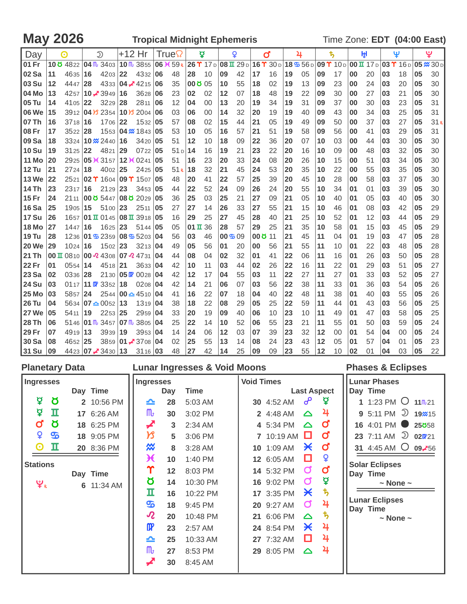| Day          |                         | $\odot$     |    | $\mathfrak{D}$                                                            | +12 Hr |                             |           | True             |                | ă  |           | Q                                                |                  | ď  |    | 4                                                                                 |    | ち  |    | ŀH |    | Ψ               |    | ೪                |
|--------------|-------------------------|-------------|----|---------------------------------------------------------------------------|--------|-----------------------------|-----------|------------------|----------------|----|-----------|--------------------------------------------------|------------------|----|----|-----------------------------------------------------------------------------------|----|----|----|----|----|-----------------|----|------------------|
| 01 Fr        |                         |             |    | 10 $\frac{3}{2}$ 4822 04 $\frac{1}{2}$ 3403                               |        | $10 \, \text{m}$ 3855       |           | 06 $\angle$ 59 R |                |    |           | $26$ $\Upsilon$ 17 D $ 08$ II 29 D 16 $\Upsilon$ |                  |    |    | $30\,\text{D}$  18 $\frac{3}{2}$ 56 D 09 $\Upsilon$ 10 D 00 II 17 D 03 $\Upsilon$ |    |    |    |    |    | 16 <sub>D</sub> |    | $05 \times 30$ D |
| 02 Sa        | 11                      | 4635 16     |    | 4203                                                                      | 22     | 4332 06                     |           | 48               | 28             | 10 | 09        | 42                                               | 17               | 16 | 19 | 05                                                                                | 09 | 17 | 00 | 20 | 03 | 18              | 05 | 30               |
| 03 Su        | 12                      | 4447 28     |    | 4333                                                                      |        | 04 $\cancel{\bullet}$ 4215  | 06        | 35               | 000005         |    | 10        | 55                                               | 18               | 02 | 19 | 13                                                                                | 09 | 23 | 00 | 24 | 03 | 20              | 05 | 30               |
| 04 Mo        | 13                      |             |    | 4257 10 $\overline{\phantom{0}}$ 3949                                     | 16     | 3628                        | 06        | 23               | 02             | 02 | 12        | 07                                               | 18               | 48 | 19 | 22                                                                                | 09 | 30 | 00 | 27 | 03 | 21              | 05 | 30               |
| 05 Tu        | 14                      | 4105 22     |    | 3229                                                                      | 28     | 2811                        | <b>06</b> | 12               | 04             | 00 | 13        | 20                                               | 19               | 34 | 19 | 31                                                                                | 09 | 37 | 00 | 30 | 03 | 23              | 05 | 31               |
| 06 We        | 15                      |             |    | 3912 04 \f 2354                                                           |        | $10\frac{1}{3}$ 2004 06     |           | 03               | 06             | 00 | 14        | 32                                               | 20               | 19 | 19 | 40                                                                                | 09 | 43 | 00 | 34 | 03 | 25              | 05 | 31               |
| 07 Th        | 16                      | $3718$ 16   |    | 1706                                                                      | 22     | 1532 05                     |           | 57               | 08             | 02 | 15        | 44                                               | 21               | 05 | 19 | 49                                                                                | 09 | 50 | 00 | 37 | 03 | 27              | 05 | 31R              |
| 08 Fr        | 17                      | $3522$ 28   |    | 1553                                                                      |        | $ 04 \times 1843 05$        |           | 53               | 10             | 05 | 16        | 57                                               | 21               | 51 | 19 | 58                                                                                | 09 | 56 | 00 | 41 | 03 | 29              | 05 | 31               |
| 09 Sa        | 18                      |             |    | 3324 10 <b>2</b> 2440                                                     | 16     | 3420                        | 105       | 51               | 12             | 10 | 18        | 09                                               | 22               | 36 | 20 | 07                                                                                | 10 | 03 | 00 | 44 | 03 | 30              | 05 | 30               |
| <b>10 Su</b> | 19                      | $3125$ 22   |    | 4821                                                                      | 29     | 0722                        | 05        | 51p              | 14             | 16 | 19        | 21                                               | 23               | 22 | 20 | 16                                                                                | 10 | 09 | 00 | 48 | 03 | 32              | 05 | 30               |
| <b>11 Mo</b> | 20                      |             |    | 2925 05 \t 3157 12 \t 0241                                                |        |                             | <b>05</b> | 51               | 16             | 23 | 20        | 33                                               | 24               | 08 | 20 | 26                                                                                | 10 | 15 | 00 | 51 | 03 | 34              | 05 | 30               |
| <b>12 Tu</b> | 21                      | 2724 18     |    | $4002$ 25                                                                 |        | 2425 05                     |           | 51R              | 18             | 32 | 21        | 45                                               | 24               | 53 | 20 | 35                                                                                | 10 | 22 | 00 | 55 | 03 | 35              | 05 | 30               |
| <b>13 We</b> | 22                      |             |    | 2521 02 1 1604 09 1 1507 05                                               |        |                             |           | 48               | 20             | 41 | 22        | 57                                               | 25               | 39 | 20 | 45                                                                                | 10 | 28 | 00 | 58 | 03 | 37              | 05 | 30               |
| 14 Th        | 23                      | 2317 16     |    | 2129                                                                      | 23     | 3453                        | <b>05</b> | 44               | 22             | 52 | 24        | 09                                               | 26               | 24 | 20 | 55                                                                                | 10 | 34 | 01 | 01 | 03 | 39              | 05 | 30               |
| <b>15 Fr</b> | 24                      |             |    | 2111 00 0 5447 08 0 2029 05                                               |        |                             |           | 36               | 25             | 03 | 25        | 21                                               | 27               | 09 | 21 | 05                                                                                | 10 | 40 | 01 | 05 | 03 | 40              | 05 | 30               |
| <b>16 Sa</b> | 25                      | 1905   15   |    | 5100                                                                      | 23     | 2511                        | 05        | 27               | 27             | 14 | 26        | 33                                               | 27               | 55 | 21 | 15                                                                                | 10 | 46 | 01 | 08 | 03 | 42              | 05 | 29               |
| <b>17 Su</b> | 26                      |             |    | 1657 01 T 0145 08 T 3918 05                                               |        |                             |           | 16               | 29             | 25 | 27        | 45                                               | 28               | 40 | 21 | 25                                                                                | 10 | 52 | 01 | 12 | 03 | 44              | 05 | 29               |
| <b>18 Mo</b> | 27                      | 1447   16   |    | 1625                                                                      | 23     | 5144                        | <b>05</b> | 05               | $01 \text{ T}$ | 36 | 28        | 57                                               | 29               | 25 | 21 | 35                                                                                | 10 | 58 | 01 | 15 | 03 | 45              | 05 | 29               |
| <b>19 Tu</b> | 28                      |             |    | 1236 01 5 2359 08 5 5 203 04                                              |        |                             |           | 56               | 03             | 46 | $00 - 09$ |                                                  | $00\,\mathrm{g}$ | 11 | 21 | 45                                                                                | 11 | 04 | 01 | 19 | 03 | 47              | 05 | 28               |
| <b>20 We</b> | 29                      | 1024 16     |    | 1502                                                                      | 23     | 3213                        | 04        | 49               | 05             | 56 | 01        | 20                                               | 00               | 56 | 21 | 55                                                                                | 11 | 10 | 01 | 22 | 03 | 48              | 05 | 28               |
| 21 Th        | $00 \text{ }\mathrm{I}$ |             |    | 0810 00 $\sqrt{2}$ 4308 07 $\sqrt{2}$ 4731 04                             |        |                             |           | 44               | 08             | 04 | 02        | 32                                               | 01               | 41 | 22 | 06                                                                                | 11 | 16 | 01 | 26 | 03 | 50              | 05 | 28               |
| 22 Fr        | 01                      | 0554 14     |    | 4518 21                                                                   |        | 3633   04                   |           | 42               | 10             | 11 | 03        | 44                                               | 02               | 26 | 22 | 16                                                                                | 11 | 22 | 01 | 29 | 03 | 51              | 05 | 27               |
| 23 Sa        | 02                      | $0336$   28 |    | 2130                                                                      |        | 05070028                    | 104       | 42               | 12             | 17 | 04        | 55                                               | 03               | 11 | 22 | 27                                                                                | 11 | 27 | 01 | 33 | 03 | 52              | 05 | 27               |
| <b>24 Su</b> | 03                      |             |    | 01 <sub>17</sub>   <b>11 0 3</b> 352                                      | 18     | 0208                        | 104       | 42               | 14             | 21 | 06        | 07                                               | 03               | 56 | 22 | 38                                                                                | 11 | 33 | 01 | 36 | 03 | 54              | 05 | 26               |
| <b>25 Mo</b> | 03                      | 5857 24     |    |                                                                           |        | $2544 00 \triangle 4510 04$ |           | 41               | 16             | 22 | 07        | 18                                               | 04               | 40 | 22 | 48                                                                                | 11 | 38 | 01 | 40 | 03 | 55              | 05 | 26               |
| 26 Tu        | 04                      |             |    | 5634   07 소 0052                                                          | 13     | 1319 04                     |           | 38               | 18             | 22 | 08        | 29                                               | 05               | 25 | 22 | 59                                                                                | 11 | 44 | 01 | 43 | 03 | 56              | 05 | 25               |
| <b>27 We</b> | 05                      | 5411        | 19 | 2253                                                                      | 25     | 2959                        | 104       | 33               | 20             | 19 | 09        | 40                                               | 06               | 10 | 23 | 10                                                                                | 11 | 49 | 01 | 47 | 03 | 58              | 05 | 25               |
| <b>28 Th</b> | 06                      |             |    | 5146 01 $\frac{m}{m}$ 3457 07 $\frac{m}{m}$ 3805 04                       |        |                             |           | 25               | 22             | 14 | 10        | 52                                               | 06               | 55 | 23 | 21                                                                                | 11 | 55 | 01 | 50 | 03 | 59              | 05 | 24               |
| 29 Fr        | 07                      | $4919$   13 |    | 3939                                                                      | 19     | 3953                        | 04        | 14               | 24             | 06 | 12        | 03                                               | 07               | 39 | 23 | 32                                                                                | 12 | 00 | 01 | 54 | 04 | 00              | 05 | 24               |
| <b>30 Sa</b> | 08                      | 4652 25     |    |                                                                           |        | 3859 01 - 3708 04           |           | 02               | 25             | 55 | 13        | 14                                               | 08               | 24 | 23 | 43                                                                                | 12 | 05 | 01 | 57 | 04 | 01              | 05 | 23               |
| 31 Su        | 09                      |             |    | $4423 \,   \mathbf{07} \blacktriangleright 3430 \,   \mathbf{13} \rangle$ |        | $3116$ 03                   |           | 48               | 27             | 42 | 14        | 25                                               | 09               | 09 | 23 | 55                                                                                | 12 | 10 | 02 | 01 | 04 | 03              | 05 | 22               |

| <b>Planetary Data</b>                                                                                                                                                                           | <b>Lunar Ingresses &amp; Void Moons</b>                                                                                                                                                                                                                                                                                                                                                                        |                                                                                                                                                                                                                                                                                                                                                                                                                                                                | <b>Phases &amp; Eclipses</b>                                                                                                                                                                                                                                                                                           |
|-------------------------------------------------------------------------------------------------------------------------------------------------------------------------------------------------|----------------------------------------------------------------------------------------------------------------------------------------------------------------------------------------------------------------------------------------------------------------------------------------------------------------------------------------------------------------------------------------------------------------|----------------------------------------------------------------------------------------------------------------------------------------------------------------------------------------------------------------------------------------------------------------------------------------------------------------------------------------------------------------------------------------------------------------------------------------------------------------|------------------------------------------------------------------------------------------------------------------------------------------------------------------------------------------------------------------------------------------------------------------------------------------------------------------------|
| <b>Ingresses</b>                                                                                                                                                                                | <b>Ingresses</b>                                                                                                                                                                                                                                                                                                                                                                                               | <b>Void Times</b>                                                                                                                                                                                                                                                                                                                                                                                                                                              | <b>Lunar Phases</b>                                                                                                                                                                                                                                                                                                    |
| Day Time<br>₫<br>୪<br>2 10:56 PM<br>₫<br>п<br>17 6:26 AM<br>ď<br>୪<br>18 6:25 PM<br>¥<br>$\mathbf{G}$<br>18 9:05 PM<br>п<br>O<br>20 8:36 PM<br><b>Stations</b><br>Day Time<br>ಀೣೣ<br>6 11:34 AM | <b>Time</b><br>Day<br>28<br>5:03 AM<br>≏<br>$\mathbb{m}$<br>30<br>3:02 PM<br>◢<br>2:34 AM<br>3<br>צ<br>3:06 PM<br>5<br>⋙<br>3:28 AM<br>8<br>Ӿ<br>10<br>1:40 PM<br>Υ<br>12<br>8:03 PM<br>Ծ<br>10:30 PM<br>14<br>п<br>16<br>10:22 PM<br>த<br>18<br>9:45 PM<br>$\boldsymbol{\mathcal{R}}$<br>20<br>10:48 PM<br>$\mathbf{p}$<br>23<br>2:57 AM<br>25<br>10:33 AM<br>≏<br>$\mathsf{m}_{\mathsf{r}}$<br>27<br>8:53 PM | <b>Last Aspect</b><br>൙<br>₽<br>30 4:52 AM<br>4<br>2 4:48 AM<br>$\Delta$<br>$\sigma$<br>4 5:34 PM<br>$\triangle$<br>ď<br>O<br>7 10:19 AM<br>ď<br>$\boldsymbol{\times}$<br>10 1:09 AM<br>¥<br>□<br>12 6:05 AM<br>$\mathbf{o}$<br>σ<br>14 5:32 PM<br>₫<br>$\sigma$<br>16 9:02 PM<br>$\boldsymbol{\psi}$<br>Ӿ<br>17 3:35 PM<br>4<br>Ø<br>20 9:27 AM<br>ђ<br>21 6:06 PM<br>$\Delta$<br>4<br>Ӿ<br>24 8:54 PM<br>4<br>□<br>27 7:32 AM<br>4<br>29 8:05 PM<br>$\Delta$ | Day Time<br>1 1:23 PM $\bigcirc$ 11 m <sup>21</sup><br><b>9</b> 5:11 PM $\overline{2}$ 19 $\approx$ 15<br>16 4:01 PM •<br>25858<br>23 7:11 AM $\supseteq$ 020721<br>31 4:45 AM $\circ$<br>09-756<br><b>Solar Eclipses</b><br>Day Time<br>$\sim$ None $\sim$<br><b>Lunar Eclipses</b><br>Day Time<br>$\sim$ None $\sim$ |
|                                                                                                                                                                                                 | 30<br>8:45 AM                                                                                                                                                                                                                                                                                                                                                                                                  |                                                                                                                                                                                                                                                                                                                                                                                                                                                                |                                                                                                                                                                                                                                                                                                                        |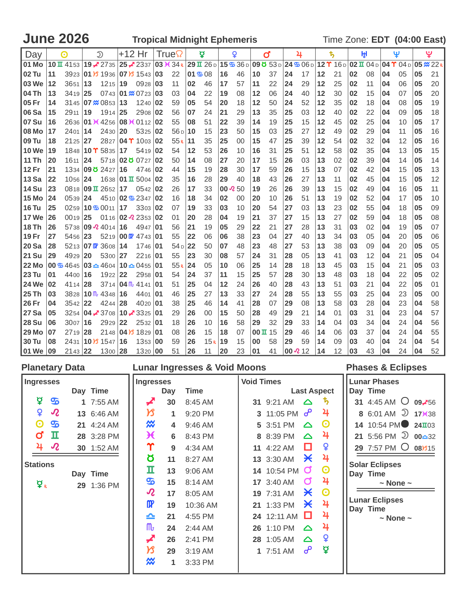**June 2026 Tropical Midnight Ephemeris Time Zone: EDT (04:00 East)** 

| Day          |    | $\odot$                                                   |    | $\mathfrak{D}$                          |    | +12 Hr                                       |              | True            |    | Ā      |    | Q              |                   | ď  |    | 4                                                                                                                   |    | ち                                             |    | 田  |    | Ψ                               |    | ಀೣ                 |
|--------------|----|-----------------------------------------------------------|----|-----------------------------------------|----|----------------------------------------------|--------------|-----------------|----|--------|----|----------------|-------------------|----|----|---------------------------------------------------------------------------------------------------------------------|----|-----------------------------------------------|----|----|----|---------------------------------|----|--------------------|
| 01 Mo        |    | $10 \text{ T}$ 41 53 $19 \cancel{2}$ 27 35                |    |                                         |    | 25 2337                                      |              | 03 K 34 R       |    |        |    |                |                   |    |    | $29 \text{ I}$ $26 \text{ o}$ 15 $\text{I}$ $36 \text{ o}$ 09 $\text{O}$ $53 \text{ o}$ 24 $\text{I}$ 06 $\text{O}$ |    | $12$ $\Upsilon$ 16 D $02$ $\overline{u}$ 04 D |    |    |    | $04$ $\Upsilon$ 04 <sub>D</sub> |    | $05 \frac{m}{22R}$ |
| 02 Tu        | 11 |                                                           |    | 3923 01 3 1936 07 3 1543                |    |                                              | 03           | 22              |    | 01 508 | 16 | 46             | 10                | 37 | 24 | 17                                                                                                                  | 12 | 21                                            | 02 | 08 | 04 | 05                              | 05 | 21                 |
| 03 We        | 12 | 3651                                                      | 13 | 1215                                    | 19 | 0928                                         | 03           | 11              | 02 | 46     | 17 | 57             | 11                | 22 | 24 | 29                                                                                                                  | 12 | 25                                            | 02 | 11 | 04 | 06                              | 05 | 20                 |
| 04 Th        | 13 | $3419$ 25                                                 |    |                                         |    | 0743 01 $\frac{\cancel{0}}{\cancel{0}}$ 0723 | 03           | 03              | 04 | 22     | 19 | 08             | 12                | 06 | 24 | 40                                                                                                                  | 12 | 30                                            | 02 | 15 | 04 | 07                              | 05 | 20                 |
| 05 Fr        | 14 |                                                           |    | 3145 07 $\%$ 0853 13                    |    | 1240                                         | 02           | 59              | 05 | 54     | 20 | 18             | 12                | 50 | 24 | 52                                                                                                                  | 12 | 35                                            | 02 | 18 | 04 | 08                              | 05 | 19                 |
| 06 Sa        | 15 | 2911 19                                                   |    | 1914 25                                 |    | 2908                                         | 02           | 56              | 07 | 24     | 21 | 29             | 13                | 35 | 25 | 03                                                                                                                  | 12 | 40                                            | 02 | 22 | 04 | 09                              | 05 | 18                 |
| 07 Su        | 16 |                                                           |    | 2636 01 3 4256 08 3 0112 02             |    |                                              |              | 55              | 08 | 51     | 22 | 39             | 14                | 19 | 25 | 15                                                                                                                  | 12 | 45                                            | 02 | 25 | 04 | 10                              | 05 | 17                 |
| 08 Mo        | 17 | 2401                                                      | 14 | 2430                                    | 20 | 5325                                         | $ 02\rangle$ | 56 <sub>D</sub> | 10 | 15     | 23 | 50             | 15                | 03 | 25 | 27                                                                                                                  | 12 | 49                                            | 02 | 29 | 04 | 11                              | 05 | 16                 |
| <b>09 Tu</b> | 18 | $2125$ 27                                                 |    |                                         |    | 2827 04 T 1003 02                            |              | 55R             | 11 | 35     | 25 | 00             | 15                | 47 | 25 | 39                                                                                                                  | 12 | 54                                            | 02 | 32 | 04 | 12                              | 05 | 16                 |
| <b>10 We</b> | 19 |                                                           |    | 1848 10 $\Upsilon$ 5835                 | 17 | 5419                                         | $ 02\rangle$ | 54              | 12 | 53     | 26 | 10             | 16                | 31 | 25 | 51                                                                                                                  | 12 | 58                                            | 02 | 35 | 04 | 13                              | 05 | 15                 |
| 11 Th        | 20 | 1611 24                                                   |    |                                         |    | 5718 02 0 0727                               | 02           | 50              | 14 | 08     | 27 | 20             | 17                | 15 | 26 | 03                                                                                                                  | 13 | 02                                            | 02 | 39 | 04 | 14                              | 05 | 14                 |
| <b>12 Fr</b> | 21 |                                                           |    | 1334 09 0 2427                          | 16 | 4746                                         | 102          | 44              | 15 | 19     | 28 | 30             | 17                | 59 | 26 | 15                                                                                                                  | 13 | 07                                            | 02 | 42 | 04 | 15                              | 05 | 13                 |
| $13$ Sa      | 22 | 1056 24                                                   |    |                                         |    | 1638 01 $\overline{u}$ 5004                  | 02           | 35              | 16 | 28     | 29 | 40             | 18                | 43 | 26 | 27                                                                                                                  | 13 | 11                                            | 02 | 45 | 04 | 15                              | 05 | 12                 |
| <b>14 Su</b> | 23 |                                                           |    | 0818 09 $\overline{u}$ 2652 17          |    | $0542$ 02                                    |              | 26              | 17 | 33     |    | $00 \times 50$ | 19                | 26 | 26 | 39                                                                                                                  | 13 | 15                                            | 02 | 49 | 04 | 16                              | 05 | 11                 |
| <b>15 Mo</b> | 24 | 0539 24                                                   |    |                                         |    | 4510 02 5 2347 02                            |              | 16              | 18 | 34     | 02 | 00             | 20                | 10 | 26 | 51                                                                                                                  | 13 | 19                                            | 02 | 52 | 04 | 17                              | 05 | 10                 |
| <b>16 Tu</b> | 25 |                                                           |    | $0259110-50011$                         | 17 | 3303                                         | 102          | 07              | 19 | 33     | 03 | 10             | 20                | 54 | 27 | 03                                                                                                                  | 13 | 23                                            | 02 | 55 | 04 | 18                              | 05 | 09                 |
| <b>17 We</b> | 26 | 0019 25                                                   |    | 0116                                    |    | $02 \lambda 2353$                            | 02           | 01              | 20 | 28     | 04 | 19             | 21                | 37 | 27 | 15                                                                                                                  | 13 | 27                                            | 02 | 59 | 04 | 18                              | 05 | 08                 |
| <b>18 Th</b> | 26 |                                                           |    | 5738 09 $\lambda$ 4014                  | 16 | 4947                                         | 01           | 56              | 21 | 19     | 05 | 29             | 22                | 21 | 27 | 28                                                                                                                  | 13 | 31                                            | 03 | 02 | 04 | 19                              | 05 | 07                 |
| <b>19 Fr</b> | 27 | 5456 23                                                   |    |                                         |    | 5219 00 $\mathbb{R}$ 4743                    | <b>01</b>    | 55              | 22 | 06     | 06 | 38             | 23                | 04 | 27 | 40                                                                                                                  | 13 | 34                                            | 03 | 05 | 04 | 20                              | 05 | 06                 |
| <b>20 Sa</b> | 28 |                                                           |    | 5213 07 $\mathbb{R}$ 3608               | 14 | 1746                                         | 01           | 54 <sub>D</sub> | 22 | 50     | 07 | 48             | 23                | 48 | 27 | 53                                                                                                                  | 13 | 38                                            | 03 | 09 | 04 | 20                              | 05 | 05                 |
| <b>21 Su</b> | 29 | 4929 20                                                   |    | 5300                                    | 27 | 2216                                         | 101          | 55              | 23 | 30     | 08 | 57             | 24                | 31 | 28 | 05                                                                                                                  | 13 | 41                                            | 03 | 12 | 04 | 21                              | 05 | 04                 |
| <b>22 Mo</b> |    | 00 $\frac{1}{2}$ 4645 03 $\approx$ 4604 10 $\approx$ 0455 |    |                                         |    |                                              | <b>01</b>    | 55R             | 24 | 05     | 10 | 06             | 25                | 14 | 28 | 18                                                                                                                  | 13 | 45                                            | 03 | 15 | 04 | 21                              | 05 | 03                 |
| <b>23 Tu</b> | 01 | 4400 16                                                   |    | 1922                                    | 22 | 2958                                         | 01           | 54              | 24 | 37     | 11 | 15             | 25                | 57 | 28 | 30                                                                                                                  | 13 | 48                                            | 03 | 18 | 04 | 22                              | 05 | 02                 |
| <b>24 We</b> | 02 | 4114 28                                                   |    | $3714$ 04 $\text{fb}$ 4141              |    |                                              | 01           | 51              | 25 | 04     | 12 | 24             | 26                | 40 | 28 | 43                                                                                                                  | 13 | 51                                            | 03 | 21 | 04 | 22                              | 05 | 01                 |
| <b>25 Th</b> | 03 |                                                           |    | 3828 10 $\frac{m}{4}$ 4348              | 16 | 4401                                         | 01           | 46              | 25 | 27     | 13 | 33             | 27                | 24 | 28 | 55                                                                                                                  | 13 | 55                                            | 03 | 25 | 04 | 23                              | 05 | 00                 |
| <b>26 Fr</b> | 04 | 3542 22                                                   |    | 4244                                    | 28 | 4020                                         | <b>01</b>    | 38              | 25 | 46     | 14 | 41             | 28                | 07 | 29 | 08                                                                                                                  | 13 | 58                                            | 03 | 28 | 04 | 23                              | 04 | 58                 |
| 27 Sa        | 05 |                                                           |    | 3254 <b>04 - 37</b> 08                  |    | $10\,$ $\cancel{2}$ 3325                     | <b>01</b>    | 29              | 26 | 00     | 15 | 50             | 28                | 49 | 29 | 21                                                                                                                  | 14 | 01                                            | 03 | 31 | 04 | 23                              | 04 | 57                 |
| <b>28 Su</b> | 06 | 3007                                                      | 16 | 2929                                    | 22 | 2532                                         | 01           | 18              | 26 | 10     | 16 | 58             | 29                | 32 | 29 | 33                                                                                                                  | 14 | 04                                            | 03 | 34 | 04 | 24                              | 04 | 56                 |
| <b>29 Mo</b> | 07 | 2719 28                                                   |    |                                         |    | 2148 04 $\frac{1}{3}$ 1829                   | <b>01</b>    | 08              | 26 | 15     | 18 | 07             | $00 \text{ H}$ 15 |    | 29 | 46                                                                                                                  | 14 | 06                                            | 03 | 37 | 04 | 24                              | 04 | 55                 |
| <b>30 Tu</b> | 08 | 2431                                                      |    | $10\frac{\cancel{0}3}{\cancel{5}}$ 1547 | 16 | 1353                                         | 00           | 59              | 26 | 15R    | 19 | 15             | 00                | 58 | 29 | 59                                                                                                                  | 14 | 09                                            | 03 | 40 | 04 | 24                              | 04 | 54                 |
| l01 We       | 09 | $2143$ 22                                                 |    | 1300 28                                 |    | 1320 00                                      |              | 51              | 26 | 11     | 20 | 23             | 01                | 41 |    | 00 $212$                                                                                                            | 14 | 12                                            | 03 | 43 | 04 | 24                              | 04 | 52                 |

| <b>Planetary Data</b>                                              |                                                                                               |                                                                                             |                                                                                                                                   |                                                                                                         | <b>Lunar Ingresses &amp; Void Moons</b>                                                                                                                              |                   |                                                                                                                                                                                                                   |                                                                                                                                                                                   |                                                                                                                                 | <b>Phases &amp; Eclipses</b>                                                                                                                                                                                                                                                                      |
|--------------------------------------------------------------------|-----------------------------------------------------------------------------------------------|---------------------------------------------------------------------------------------------|-----------------------------------------------------------------------------------------------------------------------------------|---------------------------------------------------------------------------------------------------------|----------------------------------------------------------------------------------------------------------------------------------------------------------------------|-------------------|-------------------------------------------------------------------------------------------------------------------------------------------------------------------------------------------------------------------|-----------------------------------------------------------------------------------------------------------------------------------------------------------------------------------|---------------------------------------------------------------------------------------------------------------------------------|---------------------------------------------------------------------------------------------------------------------------------------------------------------------------------------------------------------------------------------------------------------------------------------------------|
| <b>Ingresses</b>                                                   |                                                                                               | Day Time                                                                                    | <b>Ingresses</b>                                                                                                                  | Day                                                                                                     | <b>Time</b>                                                                                                                                                          | <b>Void Times</b> |                                                                                                                                                                                                                   |                                                                                                                                                                                   | <b>Last Aspect</b>                                                                                                              | <b>Lunar Phases</b><br>Day Time                                                                                                                                                                                                                                                                   |
| ₫<br>¥<br>$\boldsymbol{\Theta}$<br>σ<br>4<br><b>Stations</b><br>₫. | $\mathbf{S}$<br>$\boldsymbol{\mathcal{R}}$<br>$\mathbf{G}$<br>ш<br>$\boldsymbol{\mathcal{R}}$ | 1 7:55 AM<br>13 6:46 AM<br>21 4:24 AM<br>28 3:28 PM<br>30 1:52 AM<br>Day Time<br>29 1:36 PM | ✔<br>א<br>⋙<br>Ӿ<br>Υ<br><u>ರ</u><br>п<br>௸<br>$\boldsymbol{\mathcal{R}}$<br>$\mathbf{m}$<br>≏<br>$\mathsf{m}_{t}$<br>◢<br>א<br>₩ | 30<br>1<br>$\overline{\mathbf{4}}$<br>6<br>9<br>11<br>13<br>15<br>17<br>19<br>21<br>24<br>26<br>29<br>1 | 8:45 AM<br>9:20 PM<br>9:46 AM<br>8:43 PM<br>4:34 AM<br>8:27 AM<br>$9:06$ AM<br>8:14 AM<br>8:05 AM<br>10:36 AM<br>4:55 PM<br>2:44 AM<br>2:41 PM<br>3:19 AM<br>3:33 PM |                   | 31 9:21 AM<br>3 11:05 PM $\sigma^2$<br>5 3:51 PM<br>8 8:39 PM<br>11 4:22 AM<br>13 3:30 AM<br>14 10:54 PM<br>17 3:40 AM<br>19 7:31 AM<br>21 1:33 PM<br>24 12:11 AM $\Box$<br>26 1:10 PM<br>28 1:05 AM<br>1 7:51 AM | $\triangle$<br>$\triangle$<br>$\triangle$<br>O<br>$\boldsymbol{\times}$<br>$\sigma$<br>$\sigma$<br>$\boldsymbol{\times}$<br>$\boldsymbol{\times}$<br>$\Delta$<br>$\triangle$<br>ഄ | ъ.<br>4<br>$\boldsymbol{\Theta}$<br>4<br>¥<br>4<br>$\boldsymbol{\Theta}$<br>4<br>$\boldsymbol{\Theta}$<br>4<br>4<br>4<br>¥<br>₫ | 31 4:45 AM $\bigcirc$ 09.756<br>8 6:01 AM $\overline{2}$ 17 $\overline{1}$ 1738<br>14 10:54 PM 24 103<br>21 5:56 PM $\overline{2}$ 00 $\triangle 32$<br>29 7:57 PM O 08/315<br><b>Solar Eclipses</b><br>Day Time<br>$\sim$ None $\sim$<br><b>Lunar Eclipses</b><br>Day Time<br>$\sim$ None $\sim$ |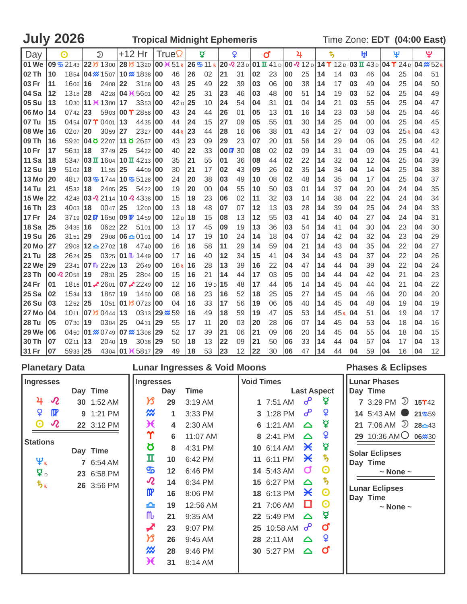| <b>July 2026</b> | <b>Tropical Midnight Ephemeris</b> | Time Zone: EDT (04:00 East) |
|------------------|------------------------------------|-----------------------------|
|------------------|------------------------------------|-----------------------------|

| Day          |    | $\odot$                                      |    | $\mathfrak{D}$                                                                 | +12 Hr |                          |           | True            |    | ă                                           |                 | ç  |    | ď                                                 |    | 4  |    | $\ddagger$ |    | Ĥ,                              |    | Ψ                       |    | ڀ               |
|--------------|----|----------------------------------------------|----|--------------------------------------------------------------------------------|--------|--------------------------|-----------|-----------------|----|---------------------------------------------|-----------------|----|----|---------------------------------------------------|----|----|----|------------|----|---------------------------------|----|-------------------------|----|-----------------|
| 01 We        |    | 09 $\frac{1}{2}$ 21 43 22 $\frac{1}{3}$ 1300 |    |                                                                                |        | 28 B 1320                |           | 00 K 51 R       |    | $26$ $\frac{6}{9}$ 11 R $20$ $\frac{23}{9}$ |                 |    |    | $ 01 \times 41 \text{ D} 00 \times 12 \text{ D} $ |    |    |    |            |    | $14$ $\Upsilon$ 12 D 03 II 43 D |    | $04$ $\Upsilon$ 24 $_D$ |    | $04 \times 52R$ |
| 02 Th        | 10 | 1854                                         |    | 04 $\frac{1}{2}$ 1507 10 $\frac{1}{2}$ 1838                                    |        |                          | 00        | 46              | 26 | 02                                          | 21              | 31 | 02 | 23                                                | 00 | 25 | 14 | 14         | 03 | 46                              | 04 | 25                      | 04 | 51              |
| 03 Fr        | 11 | 1606                                         | 16 | 2408                                                                           | 22     | 3158                     | 00        | 43              | 25 | 49                                          | 22              | 39 | 03 | 06                                                | 00 | 38 | 14 | 17         | 03 | 49                              | 04 | 25                      | 04 | 50              |
| 04 Sa        | 12 | 1318 28                                      |    | 4228 04 K 5601                                                                 |        |                          | 00        | 42              | 25 | 31                                          | 23              | 46 | 03 | 48                                                | 00 | 51 | 14 | 19         | 03 | 52                              | 04 | 25                      | 04 | 49              |
| 05 Su        | 13 |                                              |    | 1030 11 K 1300 17                                                              |        | 3353                     | 00        | 42 <sub>D</sub> | 25 | 10                                          | 24              | 54 | 04 | 31                                                | 01 | 04 | 14 | 21         | 03 | 55                              | 04 | 25                      | 04 | 47              |
| 06 Mo        | 14 | $0742$   23                                  |    | 5903 00 $\Upsilon$ 2858                                                        |        |                          | 00        | 43              | 24 | 44                                          | 26              | 01 | 05 | 13                                                | 01 | 16 | 14 | 23         | 03 | 58                              | 04 | 25                      | 04 | 46              |
| 07 Tu        | 15 |                                              |    | 0454 07 $\Upsilon$ 0401 13                                                     |        | 4435                     | 00        | 44              | 24 | 15                                          | 27              | 09 | 05 | 55                                                | 01 | 30 | 14 | 25         | 04 | 00                              | 04 | 25                      | 04 | 45              |
| <b>08 We</b> | 16 | 0207                                         | 20 | 3059                                                                           | 27     | 2327                     | 00        | 44R             | 23 | 44                                          | 28              | 16 | 06 | 38                                                | 01 | 43 | 14 | 27         | 04 | 03                              | 04 | 25R                     | 04 | 43              |
| 09 Th        | 16 |                                              |    | 5920 04 0 2207 11 0 2657                                                       |        |                          | 00        | 43              | 23 | 09                                          | 29              | 23 | 07 | 20                                                | 01 | 56 | 14 | 29         | 04 | 06                              | 04 | 25                      | 04 | 42              |
| <b>10 Fr</b> | 17 | 5633                                         | 18 | 3749                                                                           | 25     | 5422                     | 00        | 40              | 22 | 33                                          | $100 \times 30$ |    | 08 | 02                                                | 02 | 09 | 14 | 31         | 04 | 09                              | 04 | 25                      | 04 | 41              |
| <b>11 Sa</b> | 18 | 5347                                         |    | $\vert$ 03 $\overline{u}$ 1604   10 $\overline{u}$ 4213                        |        |                          | <b>00</b> | 35              | 21 | 55                                          | 01              | 36 | 08 | 44                                                | 02 | 22 | 14 | 32         | 04 | 12                              | 04 | 25                      | 04 | 39              |
| <b>12 Su</b> | 19 | 5102                                         | 18 | $1155$   25                                                                    |        | 4409                     | <b>00</b> | 30              | 21 | 17                                          | 02              | 43 | 09 | 26                                                | 02 | 35 | 14 | 34         | 04 | 14                              | 04 | 25                      | 04 | 38              |
| <b>13 Mo</b> | 20 |                                              |    | 4817 03 5 1744 10 5 5128                                                       |        |                          | 00        | 24              | 20 | 38                                          | 03              | 49 | 10 | 08                                                | 02 | 48 | 14 | 35         | 04 | 17                              | 04 | 25                      | 04 | 37              |
| <b>14 Tu</b> | 21 | 4532                                         | 18 | 2405 25                                                                        |        | 5422                     | 00        | 19              | 20 | 00                                          | 04              | 55 | 10 | 50                                                | 03 | 01 | 14 | 37         | 04 | 20                              | 04 | 24                      | 04 | 35              |
| <b>15 We</b> | 22 |                                              |    | 4248 03 $\sqrt{2}$ 2114 10 $\sqrt{2}$ 4338                                     |        |                          | <b>00</b> | 15              | 19 | 23                                          | 06              | 02 | 11 | 32                                                | 03 | 14 | 14 | 38         | 04 | 22                              | 04 | 24                      | 04 | 34              |
| <b>16 Th</b> | 23 | 40 <sub>03</sub>                             | 18 | $0047$ 25                                                                      |        | 1200                     | 00        | 13              | 18 | 48                                          | 07              | 07 | 12 | 13                                                | 03 | 28 | 14 | 39         | 04 | 25                              | 04 | 24                      | 04 | 33              |
| <b>17 Fr</b> | 24 |                                              |    | 3719 02 $\frac{m}{4}$ 1650 09 $\frac{m}{4}$ 1459                               |        |                          | 00        | 12 <sub>D</sub> | 18 | 15                                          | 08              | 13 | 12 | 55                                                | 03 | 41 | 14 | 40         | 04 | 27                              | 04 | 24                      | 04 | 31              |
| <b>18 Sa</b> | 25 | 3435                                         | 16 | 0622 22                                                                        |        | 5101                     | 00        | 13              | 17 | 45                                          | 09              | 19 | 13 | 36                                                | 03 | 54 | 14 | 41         | 04 | 30                              | 04 | 23                      | 04 | 30              |
| <b>19 Su</b> | 26 | 3151                                         | 29 | $2908 \, 106 - 0101$                                                           |        |                          | 00        | 14              | 17 | 19                                          | 10              | 24 | 14 | 18                                                | 04 | 07 | 14 | 42         | 04 | 32                              | 04 | 23                      | 04 | 29              |
| <b>20 Mo</b> | 27 |                                              |    | 2908 12 <u>↑</u> 2702 18                                                       |        | 4740                     | <b>00</b> | 16              | 16 | 58                                          | 11              | 29 | 14 | 59                                                | 04 | 21 | 14 | 43         | 04 | 35                              | 04 | 22                      | 04 | 27              |
| <b>21 Tu</b> | 28 | 2624                                         | 25 | 0325 01 $\text{m}$ 1449                                                        |        |                          | 00        | 17              | 16 | 40                                          | 12              | 34 | 15 | 41                                                | 04 | 34 | 14 | 43         | 04 | 37                              | 04 | 22                      | 04 | 26              |
| <b>22 We</b> | 29 |                                              |    | $2341$ 07 $\text{m}$ 2226                                                      | 13     | 2649                     | 00        | 16R             | 16 | 28                                          | 13              | 39 | 16 | 22                                                | 04 | 47 | 14 | 44         | 04 | 39                              | 04 | 22                      | 04 | 24              |
| 23 Th        |    | 00 $\sqrt{2}$ 2058   19                      |    | 2831 25                                                                        |        | 2804                     | 00        | 15              | 16 | 21                                          | 14              | 44 | 17 | 03                                                | 05 | 00 | 14 | 44         | 04 | 42                              | 04 | 21                      | 04 | 23              |
| 24 Fr        | 01 |                                              |    | 1816 01 2601 07 2249                                                           |        |                          | 00        | 12              | 16 | $19D$ 15                                    |                 | 48 | 17 | 44                                                | 05 | 14 | 14 | 45         | 04 | 44                              | 04 | 21                      | 04 | 22              |
| <b>25 Sa</b> | 02 | $1534$   13                                  |    | 1857                                                                           | 19     | 1450                     | 00        | 08              | 16 | 23                                          | 16              | 52 | 18 | 25                                                | 05 | 27 | 14 | 45         | 04 | 46                              | 04 | 20                      | 04 | 20              |
| <b>26 Su</b> | 03 | $1252$   25                                  |    |                                                                                |        | 1051 01 3 0723           | 00        | 04              | 16 | 33                                          | 17              | 56 | 19 | 06                                                | 05 | 40 | 14 | 45         | 04 | 48                              | 04 | 19                      | 04 | 19              |
| <b>27 Mo</b> | 04 | 1011                                         |    | $ 07 \times 0444 $ 13                                                          |        | 0313                     | 29 x 59   |                 | 16 | 49                                          | 18              | 59 | 19 | 47                                                | 05 | 53 | 14 | 45R        | 04 | 51                              | 04 | 19                      | 04 | 17              |
| <b>28 Tu</b> | 05 | 0730                                         | 19 | 0304                                                                           | 25     | 0431                     | 29        | 55              | 17 | 11                                          | 20              | 03 | 20 | 28                                                | 06 | 07 | 14 | 45         | 04 | 53                              | 04 | 18                      | 04 | 16              |
| <b>29 We</b> | 06 |                                              |    | 0450 <b>01 <math>\approx</math> 07</b> 49 <b>07 <math>\approx</math> 13</b> 08 |        |                          | 29        | 52              | 17 | 39                                          | 21              | 06 | 21 | 09                                                | 06 | 20 | 14 | 45         | 04 | 55                              | 04 | 18                      | 04 | 15              |
| 30 Th        | 07 | 0211                                         | 13 | 2040                                                                           | 19     | $3036$ 29                |           | 50              | 18 | 13                                          | 22              | 09 | 21 | 50                                                | 06 | 33 | 14 | 44         | 04 | 57                              | 04 | 17                      | 04 | 13              |
| 31 Fr        | 07 | 5933 25                                      |    |                                                                                |        | 4304 01 <b>X</b> 5817 29 |           | 49              | 18 | 53                                          | 23              | 12 | 22 | 30                                                | 06 | 47 | 14 | 44         | 04 | 59                              | 04 | 16                      | 04 | 12              |

|                                                                                                                                                                                                                                                                                                                                            | <b>Lunar Ingresses &amp; Void Moons</b>                                                                                                                                                                                                                                                                                                         |                                                                                                                                                                                                                                                                                                                                                                                                                                                | <b>Phases &amp; Eclipses</b>                                                                                                                                                                                                                                                                                                         |
|--------------------------------------------------------------------------------------------------------------------------------------------------------------------------------------------------------------------------------------------------------------------------------------------------------------------------------------------|-------------------------------------------------------------------------------------------------------------------------------------------------------------------------------------------------------------------------------------------------------------------------------------------------------------------------------------------------|------------------------------------------------------------------------------------------------------------------------------------------------------------------------------------------------------------------------------------------------------------------------------------------------------------------------------------------------------------------------------------------------------------------------------------------------|--------------------------------------------------------------------------------------------------------------------------------------------------------------------------------------------------------------------------------------------------------------------------------------------------------------------------------------|
| <b>Planetary Data</b><br><b>Ingresses</b><br>Day Time<br>$\boldsymbol{\mathcal{R}}$<br>4<br>30 1:52 AM<br>¥<br>$\mathbf{m}$<br>9 1:21 PM<br>$\boldsymbol{\mathcal{R}}$<br>⊙<br>22 3:12 PM<br><b>Stations</b><br>Day Time<br>$\mathbf{\Psi}_{\scriptscriptstyle{\text{R}}}$<br>7 6:54 AM<br>$\frac{1}{2}$<br>23 6:58 PM<br>ちょ<br>26 3:56 PM | <b>Ingresses</b><br><b>Time</b><br>Day<br>א<br>29<br>3:19 AM<br>$\boldsymbol{\mathsf{\tilde{w}}}$<br>3:33 PM<br>$\mathbf{1}$<br>Ӿ<br>2:30 AM<br>4<br>Υ<br>11:07 AM<br>6<br>Ծ<br>8<br>4:31 PM<br>п<br>10<br>6:42 PM<br>௸<br>12<br>6:46 PM<br>$\boldsymbol{\mathcal{R}}$<br>14<br>6:34 PM<br>$\mathbf{m}$<br>16<br>8:06 PM<br>≏<br>19<br>12:56 AM | <b>Void Times</b><br><b>Last Aspect</b><br>൙<br>₽<br>1 7:51 AM<br>൙<br>¥<br>3 1:28 PM<br>₫<br>6 1:21 AM<br>$\triangle$<br>¥<br>8 2:41 PM<br>$\triangle$<br>₫<br>$\boldsymbol{\times}$<br>10 6:14 AM<br>$\boldsymbol{\psi}$<br>Ӿ<br>11 6:11 PM<br>$\boldsymbol{\Theta}$<br>$\sigma$<br>14 5:43 AM<br>ђ<br>15 6:27 PM<br>$\triangle$<br>$\boldsymbol{\times}$<br>$\boldsymbol{\Theta}$<br>18 6:13 PM<br>О<br>$\boldsymbol{\Theta}$<br>21 7:06 AM | <b>Lunar Phases</b><br>Day Time<br>7 3:29 PM $\overline{2}$ 15 $\gamma$ 42<br>14 5:43 AM 21 $\frac{1}{20}$ 21 $\frac{1}{20}$<br>21 7:06 AM $\overline{2}$ 28 $\triangle 43$<br>29 10:36 AMO 06 <sup>2</sup> 30<br><b>Solar Eclipses</b><br>Day Time<br>$\sim$ None $\sim$<br><b>Lunar Eclipses</b><br>Day Time<br>$\sim$ None $\sim$ |
|                                                                                                                                                                                                                                                                                                                                            | $\mathsf{m}_{\mathsf{r}}$<br>21<br>9:35 AM<br>◢<br>23<br>9:07 PM<br>א<br>26<br>9:45 AM<br>$\boldsymbol{\mathsf{\tilde{w}}}$<br>28<br>9:46 PM                                                                                                                                                                                                    | ₫<br>22 5:49 PM<br>$\triangle$<br>25 10:58 AM $\sigma^2$<br>ď<br>¥<br>28 2:11 AM<br>$\Delta$<br>$\sigma$<br>30 5:27 PM<br>$\triangle$                                                                                                                                                                                                                                                                                                          |                                                                                                                                                                                                                                                                                                                                      |
|                                                                                                                                                                                                                                                                                                                                            | Ӿ<br>31<br>8:14 AM                                                                                                                                                                                                                                                                                                                              |                                                                                                                                                                                                                                                                                                                                                                                                                                                |                                                                                                                                                                                                                                                                                                                                      |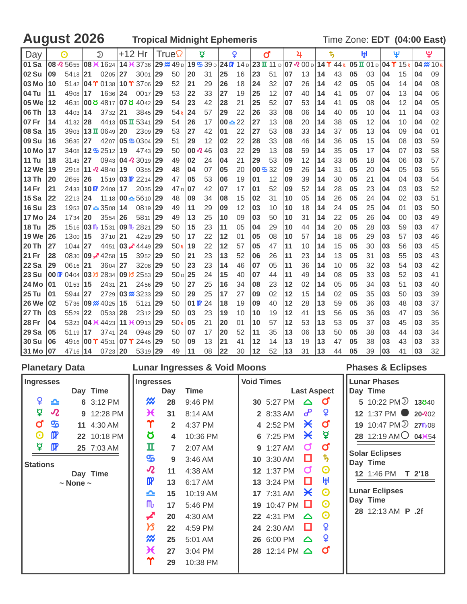August 2026 **Tropical Midnight Ephemeris** Time Zone: **EDT** (04:00 East)

| Day          |                                          | ⊙           | $\mathfrak{D}$                                               | +12 Hr |                                                        |    | True            |                 | ₫                                                                 |           | Q  |              | ď  |    | 4                                   |    | ҍ,                                |    | ŀχl       |    | Ψ                    |    | ಀೣ              |
|--------------|------------------------------------------|-------------|--------------------------------------------------------------|--------|--------------------------------------------------------|----|-----------------|-----------------|-------------------------------------------------------------------|-----------|----|--------------|----|----|-------------------------------------|----|-----------------------------------|----|-----------|----|----------------------|----|-----------------|
| 101 Sa       |                                          |             | 08 $\sqrt{2}$ 5655 08 $\cancel{+}$ 1624 14 $\cancel{+}$ 3736 |        |                                                        |    | 29 % 49 D       |                 | 19 $\frac{1}{2}$ 39 D 24 $\frac{1}{2}$ 14 D 23 $\frac{1}{2}$ 11 D |           |    |              |    |    | $\overline{07 \times 00 \text{ p}}$ |    | $14$ $\Upsilon$ $44$ <sub>R</sub> |    | 05 I 01 D |    | $04$ $\Upsilon$ 15 R |    | $04 \times 10R$ |
| 02 Su        | 09                                       | 5418 21     | $0205$ 27                                                    |        | 3001                                                   | 29 | 50              | 20              | 31                                                                | 25        | 16 | 23           | 51 | 07 | 13                                  | 14 | 43                                | 05 | 03        | 04 | 15                   | 04 | 09              |
| 03 Mo        | 10                                       |             | 5142 04 $\Upsilon$ 0138 10 $\Upsilon$ 3706                   |        |                                                        | 29 | 52              | 21              | 29                                                                | 26        | 18 | 24           | 32 | 07 | 26                                  | 14 | 42                                | 05 | 05        | 04 | 14                   | 04 | 08              |
| l 04 Tu      | 11                                       | 4908 17     | 1636 24                                                      |        | 0017                                                   | 29 | 53              | 22              | 33                                                                | 27        | 19 | 25           | 12 | 07 | 40                                  | 14 | 41                                | 05 | 07        | 04 | 13                   | 04 | 06              |
| 05 We        | 12                                       |             | 4635 00 0 4817 07 0 4042                                     |        |                                                        | 29 | 54              | 23              | 42                                                                | 28        | 21 | 25           | 52 | 07 | 53                                  | 14 | 41                                | 05 | 08        | 04 | 12                   | 04 | 05              |
| l 06 Th      | 13                                       | 4403 14     | $3732$   21                                                  |        | 3845                                                   | 29 | 54R             | 24              | 57                                                                | 29        | 22 | 26           | 33 | 08 | 06                                  | 14 | 40                                | 05 | 10        | 04 | 11                   | 04 | 03              |
| 107 Fr       | 14                                       | 4132 28     | 4413 <b>05 II</b> 5341                                       |        |                                                        | 29 | 54              | 26              | 17                                                                | $00 - 22$ |    | 27           | 13 | 08 | 20                                  | 14 | 38                                | 05 | 12        | 04 | 10                   | 04 | 02              |
| 108 Sa       | 15                                       |             | 3903 13 $\Pi$ 0649                                           | 20     | 2309                                                   | 29 | 53              | 27              | 42                                                                | 01        | 22 | 27           | 53 | 08 | 33                                  | 14 | 37                                | 05 | 13        | 04 | 09                   | 04 | 01              |
| 109 Su       | 16                                       | $3635$   27 |                                                              |        | 4207 05 \$ 0304 29                                     |    | 51              | 29              | 12                                                                | 02        | 22 | 28           | 33 | 08 | 46                                  | 14 | 36                                | 05 | 15        | 04 | 08                   | 03 | 59              |
| <b>10 Mo</b> | 17                                       |             | 3408 125 2512 19                                             |        | 4743 29                                                |    | 50              |                 | $00 \times 46$                                                    | 03        | 22 | 29           | 13 | 08 | 59                                  | 14 | 35                                | 05 | 17        | 04 | 07                   | 03 | 58              |
| <b>11 Tu</b> | 18                                       | $3143$   27 |                                                              |        | $0943$ 04 $\lambda$ 3019 29                            |    | 49              | 02              | 24                                                                | 04        | 21 | 29           | 53 | 09 | 12                                  | 14 | 33                                | 05 | 18        | 04 | 06                   | 03 | 57              |
| 12 We        | 19                                       |             | 2918 <b>11 ⋅2</b> 4840 <b>19</b>                             |        | 0355                                                   | 29 | 48              | 04              | 07                                                                | 05        | 20 | $00\,96\,32$ |    | 09 | 26                                  | 14 | 31                                | 05 | 20        | 04 | 05                   | 03 | 55              |
| 13 Th        | 20                                       | $2655$ 26   |                                                              |        | 15 <sub>19</sub> 03 $\mathbb{R}$ 22 <sub>14</sub> 29   |    | 47              | 05              | 53                                                                | 06        | 19 | 01           | 12 | 09 | 39                                  | 14 | 30                                | 05 | 21        | 04 | 04                   | 03 | 54              |
| 14 Fr        | 21                                       |             | 2433 10 $\mathbb{R}$ 2408 17                                 |        | 2035 29                                                |    | 47 <sub>D</sub> | 07              | 42                                                                | 107       | 17 | 01           | 52 | 09 | 52                                  | 14 | 28                                | 05 | 23        | 04 | 03                   | 03 | 52              |
| 15 Sa        | 22                                       | 2213 24     |                                                              |        | 11 18 <b>00 <math>\triangle</math></b> 56 10 <b>29</b> |    | 48              | 09              | 34                                                                | 08        | 15 | 02           | 31 | 10 | 05                                  | 14 | 26                                | 05 | 24        | 04 | 02                   | 03 | 51              |
| 16 Su        | 23                                       |             | 1953 07 - 3508 14                                            |        | 0819                                                   | 29 | 49              | 11              | 29                                                                | 09        | 12 | 03           | 10 | 10 | 18                                  | 14 | 24                                | 05 | 25        | 04 | 01                   | 03 | 50              |
| <b>17 Mo</b> | 24                                       | 1734 20     | $3554$ 26                                                    |        | 5811                                                   | 29 | 49              | 13              | 25                                                                | 10        | 09 | 03           | 50 | 10 | 31                                  | 14 | 22                                | 05 | 26        | 04 | 00                   | 03 | 49              |
| 18 Tu        | 25                                       |             | 1516 03 lb 1531 09 lb 2821                                   |        |                                                        | 29 | 50              | 15              | 23                                                                | 11        | 05 | 04           | 29 | 10 | 44                                  | 14 | 20                                | 05 | 28        | 03 | 59                   | 03 | 47              |
| 19 We        | 26                                       | 1300 15     | 3710 21                                                      |        | 4229                                                   | 29 | 50              | 17              | 22                                                                | 12        | 01 | 05           | 08 | 10 | 57                                  | 14 | 18                                | 05 | 29        | 03 | 57                   | 03 | 46              |
| l 20 Th      | 27                                       | 1044 27     |                                                              |        | 4451 03 4449 29                                        |    | 50R             | 19              | 22                                                                | 12        | 57 | 05           | 47 | 11 | 10                                  | 14 | 15                                | 05 | 30        | 03 | 56                   | 03 | 45              |
| 121 Fr       | 28                                       |             | 0830 09 $\neq$ 4258                                          | 15     | 3952                                                   | 29 | 50              | 21              | 23                                                                | 13        | 52 | 06           | 26 | 11 | 23                                  | 14 | 13                                | 05 | 31        | 03 | 55                   | 03 | 43              |
| <b>22 Sa</b> | 29                                       | 0616 21     | 3604 27                                                      |        | 3208                                                   | 29 | 50              | 23              | 23                                                                | 14        | 46 | 07           | 05 | 11 | 36                                  | 14 | 10                                | 05 | 32        | 03 | 54                   | 03 | 42              |
| <b>23 Su</b> | $00 \, \mathrm{I} \mathrm{I} \mathrm{I}$ |             | 0404 03 3 2834 09 3 2553 29                                  |        |                                                        |    | 50 <sub>D</sub> | 25              | 24                                                                | 15        | 40 | 07           | 44 | 11 | 49                                  | 14 | 08                                | 05 | 33        | 03 | 52                   | 03 | 41              |
| 24 Mo        | 01                                       | 0153 15     | 2431                                                         | 21     | 2456                                                   | 29 | 50              | 27              | 25                                                                | 16        | 34 | 08           | 23 | 12 | 02                                  | 14 | 05                                | 05 | 34        | 03 | 51                   | 03 | 40              |
| <b>25 Tu</b> | 01                                       | 5944 27     |                                                              |        | 2729 03 x 3233                                         | 29 | 50              | 29              | 25                                                                | 17        | 27 | 09           | 02 | 12 | 15                                  | 14 | 02                                | 05 | 35        | 03 | 50                   | 03 | 39              |
| 26 We        | 02                                       |             | $5736 09 \times 4025 15$                                     |        | 5121                                                   | 29 | 50              | $01 \mathbf{F}$ | 24                                                                | 18        | 19 | 09           | 40 | 12 | 28                                  | 13 | 59                                | 05 | 36        | 03 | 48                   | 03 | 37              |
| 27 Th        | 03                                       | 5529 22     | 0533                                                         | 28     | 2312 29                                                |    | 50              | 03              | 23                                                                | 19        | 10 | 10           | 19 | 12 | 41                                  | 13 | 56                                | 05 | 36        | 03 | 47                   | 03 | 36              |
| <b>28 Fr</b> | 04                                       |             | 5323 04 \times 4423 11 \times 0913                           |        |                                                        | 29 | 50 <sub>R</sub> | 05              | 21                                                                | 20        | 01 | 10           | 57 | 12 | 53                                  | 13 | 53                                | 05 | 37        | 03 | 45                   | 03 | 35              |
| <b>29 Sa</b> | 05                                       | $5119$   17 | 3741                                                         | 24     | 0948                                                   | 29 | 50              | 07              | 17                                                                | 20        | 52 | 11           | 35 | 13 | 06                                  | 13 | 50                                | 05 | 38        | 03 | 44                   | 03 | 34              |
| 30 Su        | 06                                       |             | 4916 00 $\Upsilon$ 4531 07 $\Upsilon$ 2445                   |        |                                                        | 29 | 50              | 09              | 13                                                                | 21        | 41 | 12           | 14 | 13 | 19                                  | 13 | 47                                | 05 | 38        | 03 | 43                   | 03 | 33              |
| 31 Mo        | 07                                       | 4716 14     | $0723$ 20                                                    |        | 5319 29                                                |    | 49              | 11              | 08                                                                | 22        | 30 | 12           | 52 | 13 | 31                                  | 13 | 44                                | 05 | 39        | 03 | 41                   | 03 | 32              |

| <b>Planetary Data</b>                                                                                                                                                                                                               | <b>Lunar Ingresses &amp; Void Moons</b>                                                                                                                                                                                                                                                                                                                                                                              |                                                                                                                                                                                                                                                                                                                                                                                                                                                                                                                                                                                                            | <b>Phases &amp; Eclipses</b>                                                                                                                                                                                                             |
|-------------------------------------------------------------------------------------------------------------------------------------------------------------------------------------------------------------------------------------|----------------------------------------------------------------------------------------------------------------------------------------------------------------------------------------------------------------------------------------------------------------------------------------------------------------------------------------------------------------------------------------------------------------------|------------------------------------------------------------------------------------------------------------------------------------------------------------------------------------------------------------------------------------------------------------------------------------------------------------------------------------------------------------------------------------------------------------------------------------------------------------------------------------------------------------------------------------------------------------------------------------------------------------|------------------------------------------------------------------------------------------------------------------------------------------------------------------------------------------------------------------------------------------|
| <b>Ingresses</b><br>Day Time                                                                                                                                                                                                        | <b>Ingresses</b><br><b>Time</b>                                                                                                                                                                                                                                                                                                                                                                                      | <b>Void Times</b>                                                                                                                                                                                                                                                                                                                                                                                                                                                                                                                                                                                          | <b>Lunar Phases</b>                                                                                                                                                                                                                      |
| ¥<br>≏<br>6 3:12 PM<br>₫<br>$\boldsymbol{\mathcal{R}}$<br>9 12:28 PM<br>ď<br>$\mathbf{C}$<br>11 4:30 AM<br>$\mathbf{m}$<br>O<br>22 10:18 PM<br>₽<br>$\mathbf{p}$<br>25 7:03 AM<br><b>Stations</b><br>Day Time<br>$\sim$ None $\sim$ | Day<br>₩<br>28<br>9:46 PM<br>Ӿ<br>31<br>8:14 AM<br>Υ<br>$\overline{2}$<br>4:37 PM<br>Ծ<br>10:36 PM<br>4<br>п<br>2:07 AM<br>$\overline{7}$<br>௸<br>$3:46$ AM<br>9<br>$\boldsymbol{\mathcal{R}}$<br>11<br>4:38 AM<br>$\mathbf{p}$<br>13<br>6:17 AM<br>≏<br>15<br>10:19 AM<br>${\sf m}$<br>17<br>5:46 PM<br>◢<br>20<br>4:30 AM<br>צ<br>22<br>4:59 PM<br>₩<br>25<br>5:01 AM<br>Ж<br>27<br>3:04 PM<br>Υ<br>29<br>10:38 PM | <b>Last Aspect</b><br>$\sigma$<br>30 5:27 PM<br>$\triangle$<br>൙<br>$\mathbf{Q}$<br>2 8:33 AM<br>$\sigma$<br>$\boldsymbol{\times}$<br>4 2:52 PM<br>₽<br>$\boldsymbol{\times}$<br>6 7:25 PM<br>$\boldsymbol{\sigma}$<br>$\sigma$<br>9 1:27 AM<br>$\boldsymbol{\psi}$<br>□<br>10 3:30 AM<br>$\boldsymbol{\Theta}$<br>$\sigma$<br>12 1:37 PM<br>ਮ੍ਹਮ<br>О<br>13 3:24 PM<br>$\odot$<br>$\boldsymbol{\times}$<br><b>17</b> 7:31 AM<br>$\odot$<br>19 10:47 PM ■<br>$\boldsymbol{\Theta}$<br>22 4:31 PM<br>$\triangle$<br>$\mathsf{Q}$<br>O<br>24 2:30 AM<br>¥<br>26 6:00 PM<br>$\triangle$<br>ď<br>28 12:14 PM △ | Day Time<br>5 10:22 PM $\overline{2}$ 13840<br>12 1:37 PM 20-20-20<br>19 10:47 PM 2 27 108<br>28 12:19 AMO 043654<br><b>Solar Eclipses</b><br>Day Time<br>12 1:46 PM<br>T 2'18<br><b>Lunar Eclipses</b><br>Day Time<br>28 12:13 AM P .2f |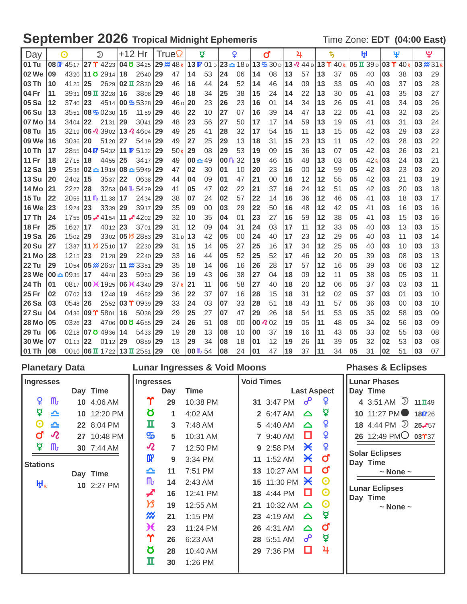# September 2026 Tropical Midnight Ephemeris Time Zone: EDT (04:00 East)

| Day          |    | <u>ெ</u>               |    | D                                                              |    | +12 Hr                                |     | True                |                     | ₫   |                     | Q  |                | ď                                                              |    | 4                       |    | $\ddagger$                    |    | ŀţ۱                          |                           | Ψ               |    | ಀೣ        |
|--------------|----|------------------------|----|----------------------------------------------------------------|----|---------------------------------------|-----|---------------------|---------------------|-----|---------------------|----|----------------|----------------------------------------------------------------|----|-------------------------|----|-------------------------------|----|------------------------------|---------------------------|-----------------|----|-----------|
| 01 Tu        |    | $08$ $W$ 4517          |    | 27 T 4223                                                      |    | 04 8 34 25                            |     | $29 \frac{M}{48 R}$ |                     |     |                     |    |                | $13 \times 01 \text{ D}$ 23 $\text{A}$ 18 D 13 $\text{B}$ 30 D |    | $13\,2\,44\,\mathrm{d}$ |    | $13$ $\Upsilon$ $40$ $\kappa$ |    | $05 \text{ H } 39 \text{ D}$ | $\vert 03 \Upsilon \vert$ | 40 <sub>R</sub> |    | 03 % 31 R |
| 02 We        | 09 |                        |    | 4320 11 8 2914                                                 | 18 | 2640                                  | 29  | 47                  | 14                  | 53  | 24                  | 06 | 14             | 08                                                             | 13 | 57                      | 13 | 37                            | 05 | 40                           | 03                        | 38              | 03 | 29        |
| 03 Th        | 10 | 4125                   | 25 | 2629                                                           |    | $ 02 \times 2830 29$                  |     | 46                  | 16                  | 44  | 24                  | 52 | 14             | 46                                                             | 14 | 09                      | 13 | 33                            | 05 | 40                           | 03                        | 37              | 03 | 28        |
| 04 Fr        | 11 |                        |    | 3931 09 $\overline{1}$ 3228                                    | 16 | 3808                                  | 29  | 46                  | 18                  | 34  | 25                  | 38 | 15             | 24                                                             | 14 | 22                      | 13 | 30                            | 05 | 41                           | 03                        | 35              | 03 | 27        |
| 05 Sa        | 12 | 3740                   | 23 |                                                                |    | 4514 00 \$ 5328 29                    |     | 46 <sub>D</sub>     | 20                  | 23  | 26                  | 23 | 16             | 01                                                             | 14 | 34                      | 13 | 26                            | 05 | 41                           | 03                        | 34              | 03 | 26        |
| <b>06 Su</b> | 13 |                        |    | 3551 08 $\frac{1}{2}$ 0230                                     | 15 | 1159                                  | 29  | 46                  | 22                  | 10  | 27                  | 07 | 16             | 39                                                             | 14 | 47                      | 13 | 22                            | 05 | 41                           | 03                        | 32              | 03 | 25        |
| 07 Mo        | 14 | 3404 22                |    | 2131                                                           | 29 | $3041$ 29                             |     | 48                  | 23                  | 56  | 27                  | 50 | 17             | 17                                                             | 14 | 59                      | 13 | 19                            | 05 | 41                           | 03                        | 31              | 03 | 24        |
| <b>08 Tu</b> | 15 |                        |    | 3219 06 $\sqrt{2}$ 3902 13 $\sqrt{2}$ 4604 29                  |    |                                       |     | 49                  | 25                  | 41  | 28                  | 32 | 17             | 54                                                             | 15 | 11                      | 13 | 15                            | 05 | 42                           | 03                        | 29              | 03 | 23        |
| 09 We        | 16 | $3036$   20            |    | 5120                                                           | 27 | 5419                                  | 29  | 49                  | 27                  | 25  | 29                  | 13 | 18             | 31                                                             | 15 | 23                      | 13 | 11                            | 05 | 42                           | 03                        | 28              | 03 | 22        |
| 10Th         | 17 |                        |    | 2855 04 $\mathbb{P}$ 5432                                      |    | 11 $\mathbf{C}$ 51 <sub>32</sub>   29 |     | 50 <sub>R</sub>     | 29                  | 08  | 29                  | 53 | 19             | 09                                                             | 15 | 36                      | 13 | 07                            | 05 | 42                           | 03                        | 26              | 03 | 21        |
| <b>11 Fr</b> | 18 | $2715$ 18              |    | 4455                                                           | 25 | $3417$ 29                             |     | 49                  | $00 - 49$           |     | $00 \, \text{m}$ 32 |    | 19             | 46                                                             | 15 | 48                      | 13 | 03                            | 05 | 42R                          | 03                        | 24              | 03 | 21        |
| <b>12 Sa</b> | 19 |                        |    | $2538 \,   \mathbf{02 - } 1919 \,   \mathbf{08 - } 5949$       |    |                                       | 129 | 47                  | 02                  | 30  | 01                  | 10 | 20             | 23                                                             | 16 | 00                      | 12 | 59                            | 05 | 42                           | 03                        | 23              | 03 | 20        |
| <b>13 Su</b> | 20 | 2402 15                |    | 3537                                                           | 22 | 0638                                  | 129 | 44                  | 04                  | 09  | 01                  | 47 | 21             | 00                                                             | 16 | 12                      | 12 | 55                            | 05 | 42                           | 03                        | 21              | 03 | 19        |
| <b>14 Mo</b> | 21 | 2227                   | 28 | 3253                                                           |    | $104 \text{ m}$ 5429                  | 29  | 41                  | 05                  | 47  | 02                  | 22 | 21             | 37                                                             | 16 | 24                      | 12 | 51                            | 05 | 42                           | 03                        | 20              | 03 | 18        |
| $15$ Tu      | 22 |                        |    | $2055$ 11 M <sub>u</sub> 11 38                                 | 17 | 2434                                  | 29  | 38                  | 07                  | 24  | 02                  | 57 | 22             | 14                                                             | 16 | 36                      | 12 | 46                            | 05 | 41                           | 03                        | 18              | 03 | 17        |
| <b>16 We</b> | 23 | $1924$ 23              |    | 3339                                                           | 29 | 3917 29                               |     | 35                  | 09                  | 00  | 03                  | 29 | 22             | 50                                                             | 16 | 48                      | 12 | 42                            | 05 | 41                           | 03                        | 16              | 03 | 16        |
| <b>17 Th</b> | 24 |                        |    | 1755 <b>05</b> $\angle 4154$                                   |    | 11 $\neq$ 4202 29                     |     | 32                  | 10                  | 35  | 04                  | 01 | 23             | 27                                                             | 16 | 59                      | 12 | 38                            | 05 | 41                           | 03                        | 15              | 03 | 16        |
| <b>18 Fr</b> | 25 | 1627                   | 17 | 4012                                                           | 23 | 3701                                  | 29  | 31                  | 12                  | 0.9 | 04                  | 31 | 24             | 03                                                             | 17 | 11                      | 12 | 33                            | 05 | 40                           | 03                        | 13              | 03 | 15        |
| <b>19 Sa</b> | 26 | 1502 29                |    |                                                                |    | $3302$ 05 $\cancel{105}$ 2853 29      |     | 31 <sub>D</sub>     | 13                  | 42  | 05                  | 00 | 24             | 40                                                             | 17 | 23                      | 12 | 29                            | 05 | 40                           | 03                        | 11              | 03 | 14        |
| <b>20 Su</b> | 27 |                        |    | 1337 11 3 2510 17                                              |    | 2230 29                               |     | 31                  | 15                  | 14  | 05                  | 27 | 25             | 16                                                             | 17 | 34                      | 12 | 25                            | 05 | 40                           | 03                        | 10              | 03 | 13        |
| <b>21 Mo</b> | 28 | $1215$ 23              |    | 2128                                                           | 29 | 2240                                  | 29  | 33                  | 16                  | 44  | 05                  | 52 | 25             | 52                                                             | 17 | 46                      | 12 | 20                            | 05 | 39                           | 03                        | 08              | 03 | 13        |
| <b>22 Tu</b> | 29 |                        |    | 1054 <b>05 <math>\frac{\cancel{0}}{\cancel{0}}</math></b> 2637 |    | 11 <b>x</b> 3351                      | 129 | 35                  | 18                  | 14  | 06                  | 16 | 26             | 28                                                             | 17 | 57                      | 12 | 16                            | 05 | 39                           | 03                        | 06              | 03 | 12        |
| <b>23 We</b> |    | 00 $\triangle$ 0935 17 |    | 4448                                                           | 23 | 5953                                  | 29  | 36                  | 19                  | 43  | 06                  | 38 | 27             | 04                                                             | 18 | 09                      | 12 | 11                            | 05 | 38                           | 03                        | 05              | 03 | 11        |
| 24 Th        | 01 |                        |    | 0817 00 <del>1</del> 1925                                      |    | 06 <b>X</b> 4340                      | 29  | 37 <sub>R</sub>     | 21                  | 11  | 06                  | 58 | 27             | 40                                                             | 18 | 20                      | 12 | 06                            | 05 | 37                           | 03                        | 03              | 03 | 11        |
| 25 Fr        | 02 | $0702$   13            |    | 1248                                                           | 19 | 4652                                  | 29  | 36                  | 22                  | 37  | 07                  | 16 | 28             | 15                                                             | 18 | 31                      | 12 | 02                            | 05 | 37                           | 03                        | 01              | 03 | 10        |
| <b>26 Sa</b> | 03 | $0548$ 26              |    |                                                                |    | $2552$ 03 T 0939                      | 29  | 33                  | 24                  | 03  | 07                  | 33 | 28             | 51                                                             | 18 | 43                      | 11 | 57                            | 05 | 36                           | 03                        | 00              | 03 | 10        |
| <b>27 Su</b> | 04 |                        |    | 0436 09 $\Upsilon$ 5801                                        | 16 | 5038                                  | 29  | 29                  | 25                  | 27  | 07                  | 47 | 29             | 26                                                             | 18 | 54                      | 11 | 53                            | 05 | 35                           | 02                        | 58              | 03 | 09        |
| <b>28 Mo</b> | 05 | 0326                   | 23 | 4706                                                           |    | $ 000 \times 4655 $                   | 29  | 24                  | 26                  | 51  | 08                  | 00 | $00 \times 02$ |                                                                | 19 | 05                      | 11 | 48                            | 05 | 34                           | 02                        | 56              | 03 | 09        |
| <b>29 Tu</b> | 06 |                        |    | 0218 07 0 4936                                                 | 14 | 5433 29                               |     | 19                  | 28                  | 13  | 08                  | 10 | 00             | 37                                                             | 19 | 16                      | 11 | 43                            | 05 | 33                           | 02                        | 55              | 03 | 08        |
| <b>30 We</b> | 07 | $0113$ 22              |    | $0112$ 29                                                      |    | 0859 29                               |     | 13                  | 29                  | 34  | 08                  | 18 | 01             | 12                                                             | 19 | 26                      | 11 | 39                            | 05 | 32                           | 02                        | 53              | 03 | 08        |
| 01 Th        | 08 |                        |    | 0010 06 $\overline{u}$ 1722 13 $\overline{u}$ 2551 29          |    |                                       |     | 08                  | $00 \, \text{m}$ 54 |     | 08                  | 24 | 01             | 47                                                             | 19 | 37                      | 11 | 34                            | 05 | 31                           | 02                        | 51              | 03 | 07        |

| <b>Planetary Data</b> |                            |             |                                   |                | <b>Lunar Ingresses &amp; Void Moons</b> |                   |                               |                       |                       | <b>Phases &amp; Eclipses</b>      |
|-----------------------|----------------------------|-------------|-----------------------------------|----------------|-----------------------------------------|-------------------|-------------------------------|-----------------------|-----------------------|-----------------------------------|
| <b>Ingresses</b>      |                            |             | <b>Ingresses</b>                  |                |                                         | <b>Void Times</b> |                               |                       |                       | <b>Lunar Phases</b>               |
|                       |                            | Day Time    |                                   | Day            | <b>Time</b>                             |                   |                               |                       | <b>Last Aspect</b>    | Day Time                          |
| ¥                     | $\mathbf{m}$               | 10 4:06 AM  | Υ                                 | 29             | 10:38 PM                                |                   | 31 3:47 PM $o^0$              |                       | ¥                     | 4 3:51 AM $\odot$ 11 $\pi$ 49     |
| ₫                     | ≏                          | 10 12:20 PM | Ծ                                 | 1              | 4:02 AM                                 |                   | 2 6:47 AM                     | $\triangle$           | ₽                     | 10 11:27 PM 180726                |
| $\boldsymbol{\Theta}$ | ≏                          | 22 8:04 PM  | п                                 | 3              | 7:48 AM                                 |                   | 5 4:40 AM                     | $\triangle$           | ¥                     | 18 4:44 PM $\overline{2}$ 25, 57  |
| ď                     | $\boldsymbol{\mathcal{R}}$ | 27 10:48 PM | த                                 | 5              | 10:31 AM                                |                   | 7 9:40 AM                     | O                     | ¥                     | 26 12:49 PMO 03737                |
| ₽                     | $\mathsf{m}$               | 30 7:44 AM  | $\boldsymbol{\mathcal{R}}$        | $\overline{7}$ | 12:50 PM                                |                   | 9 2:58 PM                     | $\boldsymbol{\times}$ | ¥                     |                                   |
|                       |                            |             | $\mathbf{p}$                      | 9              | 3:34 PM                                 |                   | 11 1:52 AM                    | $\boldsymbol{\times}$ | $\sigma$              | <b>Solar Eclipses</b><br>Day Time |
| <b>Stations</b>       |                            | Day Time    | ≏                                 | 11             | 7:51 PM                                 |                   | 13 10:27 AM                   | O                     | $\sigma$              | $\sim$ None $\sim$                |
| НP                    |                            | 10 2:27 PM  | $\mathsf{m}$                      | 14             | 2:43 AM                                 |                   | 15 11:30 PM $\cancel{\times}$ |                       | $\odot$               |                                   |
|                       |                            |             | ◢                                 | 16             | 12:41 PM                                |                   | 18 4:44 PM                    | o                     | $\odot$               | <b>Lunar Eclipses</b><br>Day Time |
|                       |                            |             | א                                 | 19             | 12:55 AM                                |                   | 21 10:32 AM △                 |                       | $\boldsymbol{\Theta}$ | $\sim$ None $\sim$                |
|                       |                            |             | $\boldsymbol{\mathsf{\tilde{w}}}$ | 21             | $1:15$ PM                               |                   | 23 4:19 AM                    | $\triangle$           | ₫                     |                                   |
|                       |                            |             | $\boldsymbol{\mathcal{H}}$        | 23             | 11:24 PM                                |                   | 26 4:31 AM                    | $\triangle$           | $\mathbf{o}$          |                                   |
|                       |                            |             | Υ                                 | 26             | 6:23 AM                                 |                   | 28 5:51 AM                    | ൙                     | ₫                     |                                   |
|                       |                            |             | Ծ                                 | 28             | 10:40 AM                                |                   | 29 7:36 PM                    | 0                     | 4                     |                                   |
|                       |                            |             | п                                 | 30             | 1:26 PM                                 |                   |                               |                       |                       |                                   |
|                       |                            |             |                                   |                |                                         |                   |                               |                       |                       |                                   |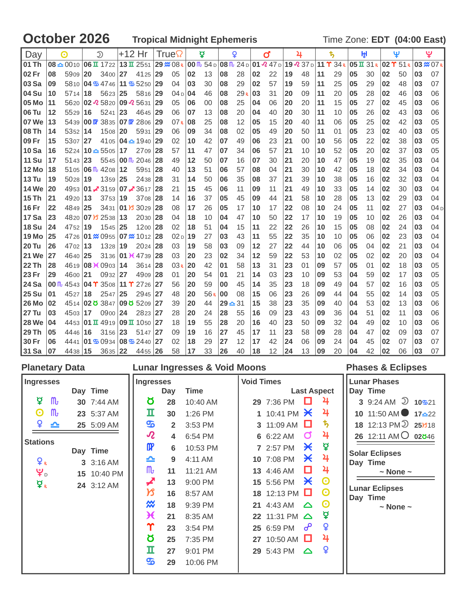### **October 2026 Tropical Midnight Ephemeris Time Zone: EDT (04:00 East)**

| Day          |                 | $\odot$   |    | $\mathfrak{D}$                                      | +12 Hr |                             |    | True            |     | ğ   |           | Q   |    | ď                                                                    |    | 4                                   |    | \$ |    | ŀŖ         |    | Ψ                    |    | ಀೣ               |
|--------------|-----------------|-----------|----|-----------------------------------------------------|--------|-----------------------------|----|-----------------|-----|-----|-----------|-----|----|----------------------------------------------------------------------|----|-------------------------------------|----|----|----|------------|----|----------------------|----|------------------|
| l 01 Th      |                 |           |    | $08 \triangle 0010$ 06 T $1722$ 13 T $2551$         |        |                             |    | 29 % 08 R       |     |     |           |     |    | 00 $\frac{m}{10}$ 54 D 08 $\frac{m}{10}$ 24 D 01 $\frac{m}{10}$ 47 D |    | 19 $\Omega$ 37 d 11 $\Upsilon$ 34 k |    |    |    | 05 II 31 R |    | $02$ $\Upsilon$ 51 R |    | $03 \times 07$ R |
| 102 Fr       | 08              | 5909 20   |    | 3400 27                                             |        | 4125                        | 29 | 05              | 02  | 13  | 08        | 28  | 02 | 22                                                                   | 19 | 48                                  | 11 | 29 | 05 | 30         | 02 | 50                   | 03 | 07               |
| <b>03 Sa</b> | 09              |           |    | 5810 04 5 4746 11 5 5250 29                         |        |                             |    | 04              | 03  | 30  | 08        | 29  | 02 | 57                                                                   | 19 | 59                                  | 11 | 25 | 05 | 29         | 02 | 48                   | 03 | 07               |
| 104 Su       | 10              | 5714      | 18 | $5623$ 25                                           |        | 5816 29                     |    | 04 <sub>D</sub> | 104 | 46  | 08        | 29R | 03 | 31                                                                   | 20 | 09                                  | 11 | 20 | 05 | 28         | 02 | 46                   | 03 | 06               |
| l 05 Mo      | 11              |           |    | 5620 02 2 5820 09 2 5631                            |        |                             | 29 | 05              | 06  | 00  | 08        | 25  | 04 | 06                                                                   | 20 | 20                                  | 11 | 15 | 05 | 27         | 02 | 45                   | 03 | 06               |
| l 06 Tu      | 12              | 5529      | 16 | $5241$ 23                                           |        | 4645 29                     |    | 06              | 07  | 13  | 08        | 20  | 04 | 40                                                                   | 20 | 30                                  | 11 | 10 | 05 | 26         | 02 | 43                   | 03 | 06               |
| 107 We       | 13              |           |    | 5439 00 $\frac{1}{2}$ 3835 07 $\frac{1}{2}$ 2806 29 |        |                             |    | 07R             | 08  | 25  | 08        | 12  | 05 | 15                                                                   | 20 | 40                                  | 11 | 06 | 05 | 25         | 02 | 42                   | 03 | 05               |
| l 08 Th      | 14              | 5352 14   |    | 1508 20                                             |        | 5931                        | 29 | 06              | 09  | 34  | 08        | 02  | 05 | 49                                                                   | 20 | 50                                  | 11 | 01 | 05 | 23         | 02 | 40                   | 03 | 05               |
| l 09 Fr      | 15              | 5307      | 27 |                                                     |        | 4105 04 $\triangle$ 1940 29 |    | 02              | 10  | 42  | 07        | 49  | 06 | 23                                                                   | 21 | 00                                  | 10 | 56 | 05 | 22         | 02 | 38                   | 03 | 05               |
| 10 Sa        | 16              |           |    | $5224 \mid 10 \triangle 5505 \mid 17$               |        | 2709 28                     |    | 57              | 11  | 47  | 07        | 34  | 06 | 57                                                                   | 21 | 10                                  | 10 | 52 | 05 | 20         | 02 | 37                   | 03 | 05               |
| 11 Su        | 17              | $5143$ 23 |    |                                                     |        | 5545 00 $\frac{m}{2}$ 2046  | 28 | 49              | 12  | 50  | 07        | 16  | 07 | 30                                                                   | 21 | 20                                  | 10 | 47 | 05 | 19         | 02 | 35                   | 03 | 04               |
| l 12 Mo      | 18              |           |    | $5105$ 06 $\text{fb}$ 4208 12                       |        | 5951                        | 28 | 40              | 13  | 51  | 06        | 57  | 08 | 04                                                                   | 21 | 30                                  | 10 | 42 | 05 | 18         | 02 | 34                   | 03 | 04               |
| 13 Tu        | 19              | $5028$ 19 |    | 1359 25                                             |        | 2438                        | 28 | 31              | 14  | 50  | 06        | 35  | 08 | 37                                                                   | 21 | 39                                  | 10 | 38 | 05 | 16         | 02 | 32                   | 03 | 04               |
| <b>14 We</b> | 20              |           |    | 4953 01 - 3159 07 - 3617 28                         |        |                             |    | 21              | 15  | 45  | 06        | 11  | 09 | 11                                                                   | 21 | 49                                  | 10 | 33 | 05 | 14         | 02 | 30                   | 03 | 04               |
| 15 Th        | 21              | 4920      | 13 | 3753                                                | 19     | 3708                        | 28 | 14              | 16  | 37  | 05        | 45  | 09 | 44                                                                   | 21 | 58                                  | 10 | 28 | 05 | 13         | 02 | 29                   | 03 | 04               |
| <b>16 Fr</b> | 22              | 4849 25   |    |                                                     |        | 3431 01 3029 28             |    | 08              | 17  | 26  | 05        | 17  | 10 | 17                                                                   | 22 | 08                                  | 10 | 24 | 05 | 11         | 02 | 27                   | 03 | 04 <sub>D</sub>  |
| 17 Sa        | 23              |           |    | 4820 07 3 2538 13                                   |        | 2030 28                     |    | 04              | 18  | 10  | 04        | 47  | 10 | 50                                                                   | 22 | 17                                  | 10 | 19 | 05 | 10         | 02 | 26                   | 03 | 04               |
| 18 Su        | 24              | 4752      | 19 | 1545 25                                             |        | 1200 28                     |    | 02              | 18  | 51  | 04        | 15  | 11 | 22                                                                   | 22 | 26                                  | 10 | 15 | 05 | 08         | 02 | 24                   | 03 | 04               |
| 19 Mo        | 25              |           |    | 4726 01 x 0955 07 x 1012 28                         |        |                             |    | 02 <sub>D</sub> | 19  | 27  | 03        | 43  | 11 | 55                                                                   | 22 | 35                                  | 10 | 10 | 05 | 06         | 02 | 23                   | 03 | 04               |
| l 20 Tu      | 26              | 4702 13   |    | 1328                                                | 19     | 2024 28                     |    | 03              | 19  | 58  | 03        | 09  | 12 | 27                                                                   | 22 | 44                                  | 10 | 06 | 05 | 04         | 02 | 21                   | 03 | 04               |
| 121 We       | 27              | 4640 25   |    |                                                     |        | 3136 01 K 4739 28           |    | 03              | 20  | 23  | 02        | 34  | 12 | 59                                                                   | 22 | 53                                  | 10 | 02 | 05 | 02         | 02 | 20                   | 03 | 04               |
| 22 Th        | 28              |           |    | 4619 08 <del>1</del> 0903 14                        |        | $3614$   28                 |    | 03R             | 20  | 42  | 01        | 58  | 13 | 31                                                                   | 23 | 01                                  | 09 | 57 | 05 | 01         | 02 | 18                   | 03 | 05               |
| <b>23 Fr</b> | 29              | 4600 21   |    | 0932 27                                             |        | 4909 28                     |    | 01              | 20  | 54  | 01        | 21  | 14 | 03                                                                   | 23 | 10                                  | 09 | 53 | 04 | 59         | 02 | 17                   | 03 | 05               |
| l 24 Sa      | 00 <sub>0</sub> |           |    | 4543 04 T 3508 11 T 2726 27                         |        |                             |    | 56              | 20  | 59  | 00        | 45  | 14 | 35                                                                   | 23 | 18                                  | 09 | 49 | 04 | 57         | 02 | 16                   | 03 | 05               |
| <b>25 Su</b> | 01              | 4527      | 18 | 2547 25                                             |        | 2945 27                     |    | 48              | 20  | 56R | 00        | 08  | 15 | 06                                                                   | 23 | 26                                  | 09 | 44 | 04 | 55         | 02 | 14                   | 03 | 05               |
| 26 Mo        | 02              |           |    | 4514 02 0 3847 09 0 5209 27                         |        |                             |    | 39              | 20  | 44  | $29 - 31$ |     | 15 | 38                                                                   | 23 | 35                                  | 09 | 40 | 04 | 53         | 02 | 13                   | 03 | 06               |
| 127 Tu       | 03              | 4503 17   |    | 0900 24                                             |        | 2823 27                     |    | 28              | 20  | 24  | 28        | 55  | 16 | 09                                                                   | 23 | 43                                  | 09 | 36 | 04 | 51         | 02 | 11                   | 03 | 06               |
| <b>28 We</b> | 04              |           |    | 4453 01 1 4919 09 1 1050 27                         |        |                             |    | 18              | 19  | 55  | 28        | 20  | 16 | 40                                                                   | 23 | 50                                  | 09 | 32 | 04 | 49         | 02 | 10                   | 03 | 06               |
| <b>29 Th</b> | 05              | 4446      | 16 | $3156$   23                                         |        | 5147 27                     |    | 09              | 19  | 16  | 27        | 45  | 17 | 11                                                                   | 23 | 58                                  | 09 | 28 | 04 | 47         | 02 | 09                   | 03 | 07               |
| 30 Fr        | 06              | 4441      |    | $ 01 \text{ % } 0934   08 \text{ % } 2440   27$     |        |                             |    | 02              | 18  | 29  | 27        | 12  | 17 | 42                                                                   | 24 | 06                                  | 09 | 24 | 04 | 45         | 02 | 07                   | 03 | 07               |
| 31 Sa        | 07              | 4438 15   |    | 3635 22                                             |        | 4455 26                     |    | 58              | 17  | 33  | 26        | 40  | 18 | 12                                                                   | 24 | 13                                  | 09 | 20 | 04 | 42         | 02 | 06                   | 03 | 07               |

|                                                                                                                                                                                        |                                                                                            |                                                                                              |                                                        | <b>Lunar Ingresses &amp; Void Moons</b>                                               |                   |                                                                                                                       |                                                                 |                                                                    | <b>Phases &amp; Eclipses</b>                                                                                                                                                                                                                            |
|----------------------------------------------------------------------------------------------------------------------------------------------------------------------------------------|--------------------------------------------------------------------------------------------|----------------------------------------------------------------------------------------------|--------------------------------------------------------|---------------------------------------------------------------------------------------|-------------------|-----------------------------------------------------------------------------------------------------------------------|-----------------------------------------------------------------|--------------------------------------------------------------------|---------------------------------------------------------------------------------------------------------------------------------------------------------------------------------------------------------------------------------------------------------|
| <b>Planetary Data</b><br><b>Ingresses</b><br>₫<br>$\mathbf{m}$<br>$\mathbf{m}$<br>O<br>¥<br>≏<br><b>Stations</b><br>$\mathbf{Q}_R$<br>$\mathbf{\Psi}_{\scriptscriptstyle{\mathsf{D}}}$ | Day Time<br>30 7:44 AM<br>23 5:37 AM<br>25 5:09 AM<br>Day Time<br>3 3:16 AM<br>15 10:40 PM | <b>Ingresses</b><br>Ծ<br>п<br>த<br>$\boldsymbol{\mathcal{R}}$<br>OP<br>≏<br>$\mathsf{m}_{t}$ | Day<br>28<br>30<br>$\overline{2}$<br>4<br>6<br>9<br>11 | Time<br>10:40 AM<br>1:26 PM<br>3:53 PM<br>6:54 PM<br>10:53 PM<br>4:11 AM<br>11:21 AM  | <b>Void Times</b> | 29 7:36 PM<br>1 10:41 PM $\cancel{\times}$<br>3 11:09 AM $\Box$<br>6 6:22 AM<br>7 2:57 PM<br>10 7:08 PM<br>13 4:46 AM | $\sigma$<br>$\boldsymbol{\times}$<br>$\boldsymbol{\times}$<br>О | <b>Last Aspect</b><br>4<br>4<br>ђ<br>4<br>₫<br>$\overline{4}$<br>4 | <b>Lunar Phases</b><br>Day Time<br>3 9:24 AM $\overline{2}$ 10 $\overline{2}$ 10 $\overline{2}$ 10<br>10 11:50 AM $\bullet$ 17 $\triangle$ 22<br>18 12:13 PM 2 25 818<br>26 12:11 AM O 02846<br><b>Solar Eclipses</b><br>Day Time<br>$\sim$ None $\sim$ |
| ¥R                                                                                                                                                                                     | 24 3:12 AM                                                                                 | ◢<br>ぴ<br>$\boldsymbol{\mathcal{X}}$<br>Ӿ<br>Υ<br>Ծ<br>п<br>௸                                | 13<br>16<br>18<br>21<br>23<br>25<br>27<br>29           | 9:00 PM<br>8:57 AM<br>9:39 PM<br>8:35 AM<br>3:54 PM<br>7:35 PM<br>9:01 PM<br>10:06 PM |                   | 15 5:56 PM<br>18 12:13 PM $\Box$<br>21 4:43 AM<br>22 11:31 PM △<br>25 6:59 PM<br>27 10:50 AM □<br>29 5:43 PM          | $\boldsymbol{\times}$<br>△<br>ഄ<br>$\triangle$                  | $\odot$<br>$\boldsymbol{\Theta}$<br>O<br>₫<br>Q<br>4<br>¥          | <b>Lunar Eclipses</b><br>Day Time<br>$\sim$ None $\sim$                                                                                                                                                                                                 |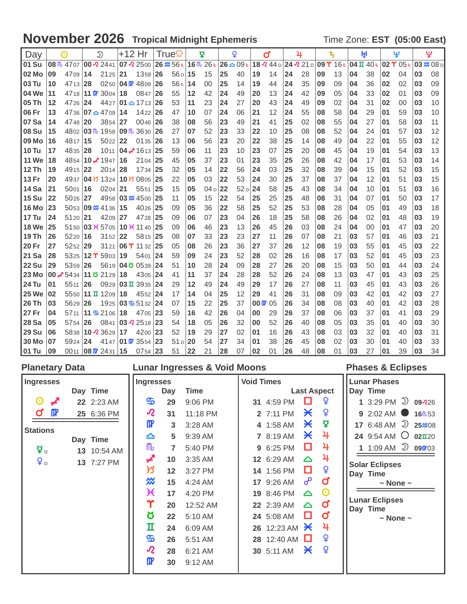### **November 2026** Tropical Midnight Ephemeris Time Zone: EST (05:00 East)

| Day          |    | $\odot$                                     |    | $\mathfrak{D}$                                | +12 Hr |                              |    | True                |    | ø               |    | Q               |                  | ď                               |    | 4         |    | ҍ,                    |    | ŀH                           |    | Ψ                                 |    | يٍ               |
|--------------|----|---------------------------------------------|----|-----------------------------------------------|--------|------------------------------|----|---------------------|----|-----------------|----|-----------------|------------------|---------------------------------|----|-----------|----|-----------------------|----|------------------------------|----|-----------------------------------|----|------------------|
| 01 Su        |    | 08 $\frac{m}{2}$ 4707 00 $\frac{m}{2}$ 2441 |    |                                               |        | 07 2500                      |    | $26 \frac{m}{56 R}$ |    | 16 M 26R        |    | $26 - 09k$      |                  | $18\,$ $\Omega$ 44 <sub>D</sub> |    | 24 2 21 D |    | $109$ $\Upsilon$ 16 R |    | $04 \text{ H } 40 \text{ R}$ |    | $02$ $\Upsilon$ $05$ <sub>R</sub> |    | $03 \times 08$ D |
| 02 Mo        | 09 | 4709                                        | 14 | 2125                                          | 21     | 1359                         | 26 | $56D$ 15            |    | 15              | 25 | 40              | 19               | 14                              | 24 | 28        | 09 | 13                    | 04 | 38                           | 02 | 04                                | 03 | 08               |
| 03 Tu        | 10 | 4713 28                                     |    | 0250                                          |        | 04 TV 4809                   | 26 | 56R                 | 14 | 00              | 25 | 14              | 19               | 44                              | 24 | 35        | 09 | 09                    | 04 | 36                           | 02 | 02                                | 03 | 09               |
| 04 We        | 11 |                                             |    | 47 <sub>18</sub> 11 $\pi$ 3004                | 18     | 0847                         | 26 | 55                  | 12 | 42              | 24 | 49              | 20               | 13                              | 24 | 42        | 09 | 05                    | 04 | 33                           | 02 | 01                                | 03 | 09               |
| 05 Th        | 12 | 4726 24                                     |    | 4427                                          |        | $101 - 1713$                 | 26 | 53                  | 11 | 23              | 24 | 27              | 20               | 43                              | 24 | 49        | 09 | 02                    | 04 | 31                           | 02 | 00                                | 03 | 10               |
| 06 Fr        | 13 |                                             |    | $4736 07 - 4709 $                             | 14     | 1422                         | 26 | 47                  | 10 | 07              | 24 | 06              | 21               | 12                              | 24 | 55        | 08 | 58                    | 04 | 29                           | 01 | 59                                | 03 | 10               |
| 07 Sa        | 14 | 4748 20                                     |    | 3854                                          | 27     | 0046                         | 26 | 38                  | 08 | 56              | 23 | 49              | 21               | 41                              | 25 | 02        | 08 | 55                    | 04 | 27                           | 01 | 58                                | 03 | 11               |
| <b>08 Su</b> | 15 |                                             |    | 4802 03 lb 1958                               |        | 09 lb 3630                   | 26 | 27                  | 07 | 52              | 23 | 33              | 22               | 10                              | 25 | 08        | 08 | 52                    | 04 | 24                           | 01 | 57                                | 03 | 12               |
| 09 Mo        | 16 | 4817   15                                   |    | 5022                                          | 22     | 0135                         | 26 | 13                  | 06 | 56              | 23 | 20              | 22               | 38                              | 25 | 14        | 08 | 49                    | 04 | 22                           | 01 | 55                                | 03 | 12               |
| <b>10 Tu</b> | 17 | 4835 28                                     |    | 1011                                          |        | 04 $\neq$ 1613 25            |    | 59                  | 06 | 11              | 23 | 10              | 23               | 07                              | 25 | 20        | 08 | 45                    | 04 | 19                           | 01 | 54                                | 03 | 13               |
| <b>11 We</b> | 18 |                                             |    | 4854 10 $\overline{4}$ 1947                   | 16     | 2104                         | 25 | 45                  | 05 | 37              | 23 | 01              | 23               | 35                              | 25 | 26        | 08 | 42                    | 04 | 17                           | 01 | 53                                | 03 | 14               |
| 12 Th        | 19 | 4915 22                                     |    | 2014                                          | 28     | 1734                         | 25 | 32                  | 05 | 14              | 22 | 56              | 24               | 03                              | 25 | 32        | 08 | 39                    | 04 | 15                           | 01 | 52                                | 03 | 15               |
| 13 Fr        | 20 |                                             |    | 4937 04 3 1324                                |        | 10 B 0805                    | 25 | 22                  | 05 | 03              | 22 | 53              | 24               | 30                              | 25 | 37        | 08 | 37                    | 04 | 12                           | 01 | 51                                | 03 | 15               |
| <b>14 Sa</b> | 21 | 5001                                        | 16 | 0204                                          | 21     | 5551                         | 25 | 15                  | 05 | 04 <sub>D</sub> | 22 | 52 <sub>D</sub> | 24               | 58                              | 25 | 43        | 08 | 34                    | 04 | 10                           | 01 | 51                                | 03 | 16               |
| <b>15 Su</b> | 22 | 5026 27                                     |    |                                               |        | 4958 03 $\%$ 4500 25         |    | 11                  | 05 | 15              | 22 | 54              | 25               | 25                              | 25 | 48        | 08 | 31                    | 04 | 07                           | 01 | 50                                | 03 | 17               |
| <b>16 Mo</b> | 23 |                                             |    | 5053 09 x 4136                                | 15     | 4026                         | 25 | 09                  | 05 | 36              | 22 | 58              | 25               | 52                              | 25 | 53        | 08 | 28                    | 04 | 05                           | 01 | 49                                | 03 | 18               |
| <b>17 Tu</b> | 24 | 5120 21                                     |    | 4209                                          | 27     | 4728                         | 25 | 09                  | 06 | 07              | 23 | 04              | 26               | 18                              | 25 | 58        | 08 | 26                    | 04 | 02                           | 01 | 48                                | 03 | 19               |
| <b>18 We</b> | 25 |                                             |    | 5150 03 $\cancel{0}$ 5705                     |        | 10 $\cancel{+}$ 11 40        | 25 | 09                  | 06 | 46              | 23 | 13              | 26               | 45                              | 26 | 03        | 08 | 24                    | 04 | 00                           | 01 | 47                                | 03 | 20               |
| <b>19 Th</b> | 26 | 5220 16                                     |    | 3152                                          | 22     | 5815                         | 25 | 08                  | 07 | 33              | 23 | 23              | 27               | 11                              | 26 | 07        | 08 | 21                    | 03 | 57                           | 01 | 46                                | 03 | 21               |
| 20 Fr        | 27 | $5252$ 29                                   |    | 3121                                          | 06T    | 1132                         | 25 | 05                  | 08 | 26              | 23 | 36              | 27               | 37                              | 26 | 12        | 08 | 19                    | 03 | 55                           | 01 | 45                                | 03 | 22               |
| 21 Sa        | 28 |                                             |    | 5325 12 T 5903                                | 19     | 5401                         | 24 | 59                  | 09 | 24              | 23 | 52              | 28               | 02                              | 26 | 16        | 08 | 17                    | 03 | 52                           | 01 | 45                                | 03 | 23               |
| <b>22 Su</b> | 29 | 5359 26                                     |    | 5619                                          |        | 04  0539                     | 24 | 51                  | 10 | 28              | 24 | 09              | 28               | 27                              | 26 | 20        | 08 | 15                    | 03 | 50                           | 01 | 44                                | 03 | 24               |
| <b>23 Mo</b> |    | 00 3434 11 8 2129                           |    |                                               | 18     | 4305 24                      |    | 41                  | 11 | 37              | 24 | 28              | 28               | 52                              | 26 | 24        | 08 | 13                    | 03 | 47                           | 01 | 43                                | 03 | 25               |
| <b>24 Tu</b> | 01 | 5511                                        | 26 | 0929                                          |        | $03 \text{ H} 3935$          | 24 | 29                  | 12 | 49              | 24 | 49              | 29               | 17                              | 26 | 27        | 08 | 11                    | 03 | 45                           | 01 | 43                                | 03 | 26               |
| <b>25 We</b> | 02 |                                             |    | 5550 <b>11 <math>\overline{u}</math></b> 1209 | 18     | 4552                         | 24 | 17                  | 14 | 04              | 25 | 12              | 29               | 41                              | 26 | 31        | 08 | 09                    | 03 | 42                           | 01 | 42                                | 03 | 27               |
| 26 Th        | 03 | 5629                                        | 26 |                                               |        | 1925 03 55132 24             |    | 07                  | 15 | 22              | 25 | 37              | $00 \, \text{m}$ | 05                              | 26 | 34        | 08 | 08                    | 03 | 40                           | 01 | 42                                | 03 | 28               |
| 27 Fr        | 04 | 5711                                        |    | $11\,$ \$ 2106                                | 18     | 4705                         | 23 | 59                  | 16 | 42              | 26 | 04              | 00               | 29                              | 26 | 37        | 08 | 06                    | 03 | 37                           | 01 | 41                                | 03 | 29               |
| <b>28 Sa</b> | 05 | 5754 26                                     |    | 0841                                          |        | 03 $2518$ 23                 |    | 54                  | 18 | 05              | 26 | 32              | 00               | 52                              | 26 | 40        | 08 | 05                    | 03 | 35                           | 01 | 40                                | 03 | 30               |
| <b>29 Su</b> | 06 |                                             |    | 5838 10 $\sqrt{2}$ 3629                       | 17     | 4200 23                      |    | 52                  | 19 | 29              | 27 | 02              | 01               | 16                              | 26 | 43        | 08 | 03                    | 03 | 32                           | 01 | 40                                | 03 | 31               |
| 30 Mo        | 07 | 5924 24                                     |    |                                               |        | 4147 01 $\mathbb{R}$ 3554 23 |    | $51 D$ 20           |    | 54              | 27 | 34              | 01               | 38                              | 26 | 45        | 08 | 02                    | 03 | 30                           | 01 | 40                                | 03 | 33               |
| 01 Tu        | 09 |                                             |    | 0011 <b>08 0 24</b> 31 <b>15</b>              |        | $0754$ 23                    |    | 51                  | 22 | 21              | 28 | 07              | 02               | 01                              | 26 | 48        | 08 | 01                    | 03 | 27                           | 01 | 39                                | 03 | 34               |

| <b>Planetary Data</b>                                                                                                                                      | <b>Lunar Ingresses &amp; Void Moons</b>                                                                                                                                                                                                                                                                                                                                                                                                                     |                                                                                                                                                                                                                                                                                                                                                                                                                                                                                       | <b>Phases &amp; Eclipses</b>                                                                                                                                                                                                                                                                          |
|------------------------------------------------------------------------------------------------------------------------------------------------------------|-------------------------------------------------------------------------------------------------------------------------------------------------------------------------------------------------------------------------------------------------------------------------------------------------------------------------------------------------------------------------------------------------------------------------------------------------------------|---------------------------------------------------------------------------------------------------------------------------------------------------------------------------------------------------------------------------------------------------------------------------------------------------------------------------------------------------------------------------------------------------------------------------------------------------------------------------------------|-------------------------------------------------------------------------------------------------------------------------------------------------------------------------------------------------------------------------------------------------------------------------------------------------------|
| <b>Ingresses</b><br>Day Time                                                                                                                               | <b>Ingresses</b><br><b>Time</b><br>Day                                                                                                                                                                                                                                                                                                                                                                                                                      | <b>Void Times</b><br><b>Last Aspect</b>                                                                                                                                                                                                                                                                                                                                                                                                                                               | <b>Lunar Phases</b><br>Day Time                                                                                                                                                                                                                                                                       |
| $\boldsymbol{\Theta}$<br>◢<br>22 2:23 AM<br>$\mathbf{p}$<br>σ<br>25 6:36 PM<br><b>Stations</b><br>Day Time<br>¥ D<br>13 10:54 AM<br><b>ұ</b><br>13 7:27 PM | ௸<br>9:06 PM<br>29<br>$\boldsymbol{\mathcal{R}}$<br>31<br>11:18 PM<br>$\mathbf{m}$<br>3<br>3:28 AM<br>≏<br>9:39 AM<br>5<br>${\sf m}$<br>5:40 PM<br>$\overline{7}$<br>◢<br>3:35 AM<br>10<br>א<br>12<br>3:27 PM<br>₩<br>15<br>4:24 AM<br>$\boldsymbol{\mathcal{H}}$<br>17<br>4:20 PM<br>Υ<br>20<br>12:52 AM<br>Ծ<br>22<br>5:10 AM<br>п<br>24<br>6:09 AM<br>த<br>26<br>5:51 AM<br>$\boldsymbol{\varOmega}$<br>28<br>6:21 AM<br>$\mathbf{p}$<br>30<br>$9:12$ AM | ¥<br>□<br>31 4:59 PM<br>¥<br>$\boldsymbol{\times}$<br>2 7:11 PM<br>₫<br>Ӿ<br>4 1:58 AM<br>4<br>$\boldsymbol{\times}$<br>7 8:19 AM<br>4<br>□<br>9 6:25 PM<br>4<br>12 6:29 AM<br>$\triangle$<br>¥<br>□<br>14 1:56 PM<br>൙<br>Ø<br>17 9:26 AM<br>$\boldsymbol{\Theta}$<br>19 8:46 PM<br>$\Delta$<br>$\mathbf 0$<br>22 2:39 AM<br>$\triangle$<br>ď<br>O<br>24 5:08 AM<br>4<br>26 12:23 AM $\cancel{\times}$<br>¥<br><b>28</b> 12:40 AM $\Box$<br>Q<br>$\boldsymbol{\times}$<br>30 5:11 AM | 1 3:29 PM $\overline{2}$ 09 226<br>9 2:02 AM $\bullet$<br>16m.53<br>17 6:48 AM $\supseteq$ 25 $\approx$ 08<br>24 9:54 AM $\bigcirc$ 02 $\pi$ 20<br>1 1:09 AM $\supseteq$ 090703<br><b>Solar Eclipses</b><br>Day Time<br>$\sim$ None $\sim$<br><b>Lunar Eclipses</b><br>Day Time<br>$\sim$ None $\sim$ |